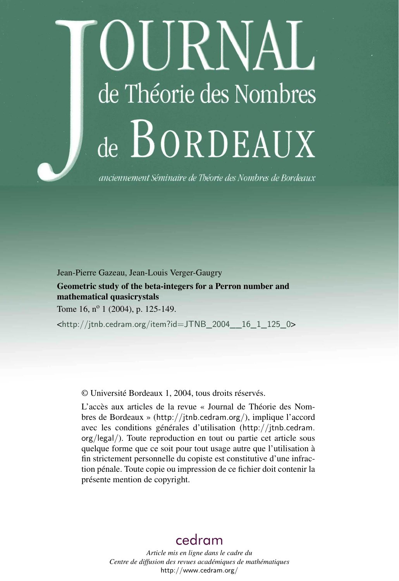# DURNAL de Théorie des Nombres de BORDEAUX

anciennement Séminaire de Théorie des Nombres de Bordeaux

Jean-Pierre Gazeau, Jean-Louis Verger-Gaugry

Geometric study of the beta-integers for a Perron number and mathematical quasicrystals

Tome 16,  $n^{\circ}$  1 (2004), p. 125-149.

<[http://jtnb.cedram.org/item?id=JTNB\\_2004\\_\\_16\\_1\\_125\\_0](http://jtnb.cedram.org/item?id=JTNB_2004__16_1_125_0)>

© Université Bordeaux 1, 2004, tous droits réservés.

L'accès aux articles de la revue « Journal de Théorie des Nombres de Bordeaux » (<http://jtnb.cedram.org/>), implique l'accord avec les conditions générales d'utilisation ([http://jtnb.cedram.](http://jtnb.cedram.org/legal/) [org/legal/](http://jtnb.cedram.org/legal/)). Toute reproduction en tout ou partie cet article sous quelque forme que ce soit pour tout usage autre que l'utilisation à fin strictement personnelle du copiste est constitutive d'une infraction pénale. Toute copie ou impression de ce fichier doit contenir la présente mention de copyright.

# [cedram](http://www.cedram.org/)

*Article mis en ligne dans le cadre du Centre de diffusion des revues académiques de mathématiques* <http://www.cedram.org/>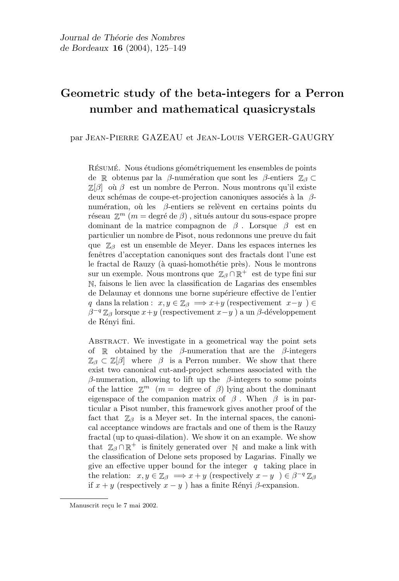## Geometric study of the beta-integers for a Perron number and mathematical quasicrystals

par Jean-Pierre GAZEAU et Jean-Louis VERGER-GAUGRY

RÉSUMÉ. Nous étudions géométriquement les ensembles de points de R obtenus par la β-numération que sont les β-entiers  $\mathbb{Z}_{\beta} \subset$  $\mathbb{Z}[\beta]$  où  $\beta$  est un nombre de Perron. Nous montrons qu'il existe deux schémas de coupe-et-projection canoniques associés à la  $\beta$ numération, où les  $\beta$ -entiers se relèvent en certains points du réseau  $\mathbb{Z}^m$  ( $m =$  degré de  $\beta$ ), situés autour du sous-espace propre dominant de la matrice compagnon de  $\beta$ . Lorsque  $\beta$  est en particulier un nombre de Pisot, nous redonnons une preuve du fait que  $\mathbb{Z}_{\beta}$  est un ensemble de Meyer. Dans les espaces internes les fenêtres d'acceptation canoniques sont des fractals dont l'une est le fractal de Rauzy (à quasi-homothétie près). Nous le montrons sur un exemple. Nous montrons que  $\mathbb{Z}_{\beta} \cap \mathbb{R}^+$  est de type fini sur N, faisons le lien avec la classification de Lagarias des ensembles de Delaunay et donnons une borne supérieure effective de l'entier q dans la relation :  $x, y \in \mathbb{Z}_{\beta} \implies x+y$  (respectivement  $x-y$ ) ∈  $\beta^{-q} \mathbb{Z}_{\beta}$  lorsque  $x+y$  (respectivement  $x-y$ ) a un  $\beta$ -développement de Rényi fini.

ABSTRACT. We investigate in a geometrical way the point sets of R obtained by the  $\beta$ -numeration that are the  $\beta$ -integers  $\mathbb{Z}_{\beta} \subset \mathbb{Z}[\beta]$  where  $\beta$  is a Perron number. We show that there exist two canonical cut-and-project schemes associated with the β-numeration, allowing to lift up the β-integers to some points of the lattice  $\mathbb{Z}^m$  (*m* = degree of  $\beta$ ) lying about the dominant eigenspace of the companion matrix of  $\beta$ . When  $\beta$  is in particular a Pisot number, this framework gives another proof of the fact that  $\mathbb{Z}_{\beta}$  is a Meyer set. In the internal spaces, the canonical acceptance windows are fractals and one of them is the Rauzy fractal (up to quasi-dilation). We show it on an example. We show that  $\mathbb{Z}_{\beta} \cap \mathbb{R}^+$  is finitely generated over  $\mathbb{N}$  and make a link with the classification of Delone sets proposed by Lagarias. Finally we give an effective upper bound for the integer  $q$  taking place in the relation:  $x, y \in \mathbb{Z}_{\beta} \implies x + y$  (respectively  $x - y$ )  $\in \beta^{-q} \mathbb{Z}_{\beta}$ if  $x + y$  (respectively  $x - y$ ) has a finite Rényi  $\beta$ -expansion.

Manuscrit reçu le 7 mai 2002.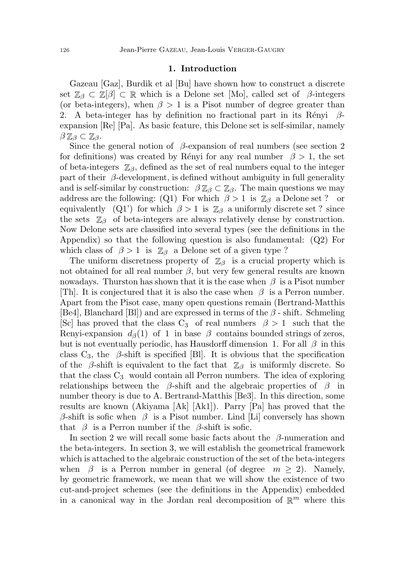#### 1. Introduction

Gazeau [Gaz], Burdik et al [Bu] have shown how to construct a discrete set  $\mathbb{Z}_{\beta} \subset \mathbb{Z}[\beta] \subset \mathbb{R}$  which is a Delone set [Mo], called set of  $\beta$ -integers (or beta-integers), when  $\beta > 1$  is a Pisot number of degree greater than 2. A beta-integer has by definition no fractional part in its Rényi  $\beta$ expansion [Re] [Pa]. As basic feature, this Delone set is self-similar, namely  $\beta\mathbb{Z}_{\beta}\subset \mathbb{Z}_{\beta}.$ 

Since the general notion of  $\beta$ -expansion of real numbers (see section 2) for definitions) was created by Rényi for any real number  $\beta > 1$ , the set of beta-integers  $\mathbb{Z}_{\beta}$ , defined as the set of real numbers equal to the integer part of their  $\beta$ -development, is defined without ambiguity in full generality and is self-similar by construction:  $\beta \mathbb{Z}_{\beta} \subset \mathbb{Z}_{\beta}$ . The main questions we may address are the following: (Q1) For which  $\beta > 1$  is  $\mathbb{Z}_{\beta}$  a Delone set ? or equivalently (Q1') for which  $\beta > 1$  is  $\mathbb{Z}_{\beta}$  a uniformly discrete set ? since the sets  $\mathbb{Z}_{\beta}$  of beta-integers are always relatively dense by construction. Now Delone sets are classified into several types (see the definitions in the Appendix) so that the following question is also fundamental: (Q2) For which class of  $\beta > 1$  is  $\mathbb{Z}_{\beta}$  a Delone set of a given type ?

The uniform discretness property of  $\mathbb{Z}_{\beta}$  is a crucial property which is not obtained for all real number  $\beta$ , but very few general results are known nowadays. Thurston has shown that it is the case when  $\beta$  is a Pisot number [Th]. It is conjectured that it is also the case when  $\beta$  is a Perron number. Apart from the Pisot case, many open questions remain (Bertrand-Matthis [Be4], Blanchard [Bl]) and are expressed in terms of the  $\beta$  - shift. Schmeling [Sc] has proved that the class  $C_3$  of real numbers  $\beta > 1$  such that the Renyi-expansion  $d_{\beta}(1)$  of 1 in base  $\beta$  contains bounded strings of zeros, but is not eventually periodic, has Hausdorff dimension 1. For all  $\beta$  in this class  $C_3$ , the  $\beta$ -shift is specified [Bl]. It is obvious that the specification of the  $\beta$ -shift is equivalent to the fact that  $\mathbb{Z}_{\beta}$  is uniformly discrete. So that the class  $C_3$  would contain all Perron numbers. The idea of exploring relationships between the  $\beta$ -shift and the algebraic properties of  $\beta$  in number theory is due to A. Bertrand-Matthis [Be3]. In this direction, some results are known (Akiyama [Ak] [Ak1]). Parry [Pa] has proved that the  $\beta$ -shift is sofic when  $\beta$  is a Pisot number. Lind [Li] conversely has shown that  $\beta$  is a Perron number if the  $\beta$ -shift is sofic.

In section 2 we will recall some basic facts about the  $\beta$ -numeration and the beta-integers. In section 3, we will establish the geometrical framework which is attached to the algebraic construction of the set of the beta-integers when  $\beta$  is a Perron number in general (of degree  $m \geq 2$ ). Namely, by geometric framework, we mean that we will show the existence of two cut-and-project schemes (see the definitions in the Appendix) embedded in a canonical way in the Jordan real decomposition of  $\mathbb{R}^m$  where this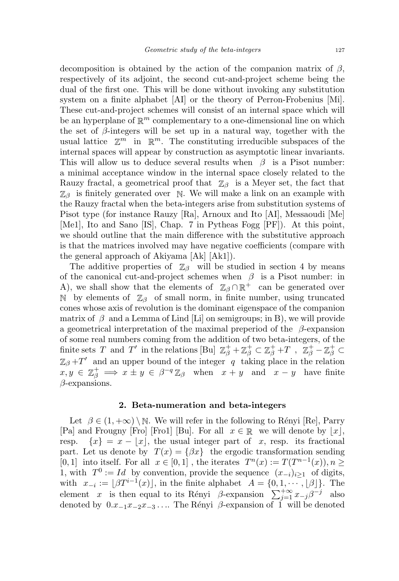decomposition is obtained by the action of the companion matrix of  $\beta$ , respectively of its adjoint, the second cut-and-project scheme being the dual of the first one. This will be done without invoking any substitution system on a finite alphabet [AI] or the theory of Perron-Frobenius [Mi]. These cut-and-project schemes will consist of an internal space which will be an hyperplane of  $\mathbb{R}^m$  complementary to a one-dimensional line on which the set of  $\beta$ -integers will be set up in a natural way, together with the usual lattice  $\mathbb{Z}^m$  in  $\mathbb{R}^m$ . The constituting irreducible subspaces of the internal spaces will appear by construction as asymptotic linear invariants. This will allow us to deduce several results when  $\beta$  is a Pisot number: a minimal acceptance window in the internal space closely related to the Rauzy fractal, a geometrical proof that  $\mathbb{Z}_{\beta}$  is a Meyer set, the fact that  $\mathbb{Z}_{\beta}$  is finitely generated over N. We will make a link on an example with the Rauzy fractal when the beta-integers arise from substitution systems of Pisot type (for instance Rauzy [Ra], Arnoux and Ito [AI], Messaoudi [Me] [Me1], Ito and Sano [IS], Chap. 7 in Pytheas Fogg [PF]). At this point, we should outline that the main difference with the substitutive approach is that the matrices involved may have negative coefficients (compare with the general approach of Akiyama [Ak] [Ak1]).

The additive properties of  $\mathbb{Z}_{\beta}$  will be studied in section 4 by means of the canonical cut-and-project schemes when  $\beta$  is a Pisot number: in A), we shall show that the elements of  $\mathbb{Z}_{\beta} \cap \mathbb{R}^+$  can be generated over N by elements of  $\mathbb{Z}_{\beta}$  of small norm, in finite number, using truncated cones whose axis of revolution is the dominant eigenspace of the companion matrix of  $\beta$  and a Lemma of Lind [Li] on semigroups; in B), we will provide a geometrical interpretation of the maximal preperiod of the  $\beta$ -expansion of some real numbers coming from the addition of two beta-integers, of the finite sets T and T' in the relations [Bu]  $\mathbb{Z}_{\beta}^+ + \mathbb{Z}_{\beta}^+ \subset \mathbb{Z}_{\beta}^+ + T$ ,  $\mathbb{Z}_{\beta}^+ - \mathbb{Z}_{\beta}^+ \subset$  $\mathbb{Z}_{\beta}$  +T' and an upper bound of the integer q taking place in the relation  $x, y \in \mathbb{Z}_{\beta}^{+} \implies x \pm y \in \beta^{-q} \mathbb{Z}_{\beta}$  when  $x + y$  and  $x - y$  have finite  $\beta$ -expansions.

#### 2. Beta-numeration and beta-integers

Let  $\beta \in (1, +\infty) \setminus \mathbb{N}$ . We will refer in the following to Rényi [Re], Parry [Pa] and Frougny [Fro] [Fro1] [Bu]. For all  $x \in \mathbb{R}$  we will denote by  $|x|$ , resp.  $\{x\} = x - |x|$ , the usual integer part of x, resp. its fractional part. Let us denote by  $T(x) = \{ \beta x \}$  the ergodic transformation sending [0, 1] into itself. For all  $x \in [0,1]$ , the iterates  $T^n(x) := T(T^{n-1}(x)), n \geq 1$ 1, with  $T^0 := Id$  by convention, provide the sequence  $(x_{-i})_{i\geq 1}$  of digits, with  $x_{-i} := \lfloor \beta T^{i-1}(x) \rfloor$ , in the finite alphabet  $A = \{0, 1, \dots, \lfloor \beta \rfloor\}$ . The element x is then equal to its Rényi  $\beta$ -expansion  $\sum_{j=1}^{+\infty} x_{-j}\beta^{-j}$  also denoted by  $0.x_{-1}x_{-2}x_{-3}...$  The Rényi  $\beta$ -expansion of 1 will be denoted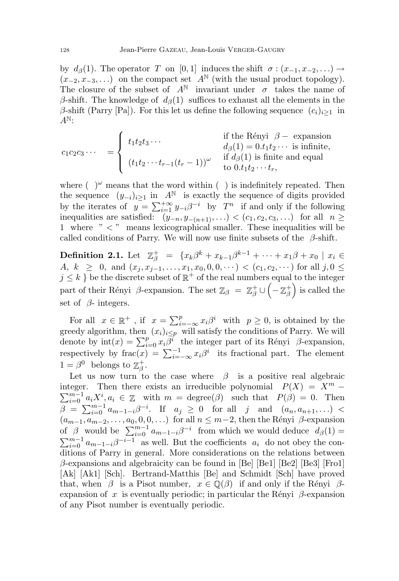by  $d_{\beta}(1)$ . The operator T on [0, 1] induces the shift  $\sigma : (x_{-1}, x_{-2}, ...) \rightarrow$  $(x_{-2}, x_{-3}, \ldots)$  on the compact set  $A^{\mathbb{N}}$  (with the usual product topology). The closure of the subset of  $A^{\mathbb{N}}$  invariant under  $\sigma$  takes the name of β-shift. The knowledge of  $d<sub>β</sub>(1)$  suffices to exhaust all the elements in the β-shift (Parry [Pa]). For this let us define the following sequence  $(c_i)_{i>1}$  in  $A^{\mathbb{N}}$ :

$$
c_1c_2c_3\cdots = \begin{cases} t_1t_2t_3\cdots & \text{if the Rényi } \beta - \text{ expansion} \\ t_1t_2t_3\cdots & d_{\beta}(1) = 0.t_1t_2\cdots \text{ is infinite,} \\ (t_1t_2\cdots t_{r-1}(t_r-1))^{\omega} & \text{if } d_{\beta}(1) \text{ is finite and equal} \\ \text{to } 0.t_1t_2\cdots t_r, \end{cases}
$$

where  $(\ )^{\omega}$  means that the word within  $(\ )$  is indefinitely repeated. Then the sequence  $(y_{-i})_{i\geq 1}$  in A<sup>N</sup> is exactly the sequence of digits provided by the iterates of  $y = \sum_{i=1}^{+\infty} y_{-i} \beta^{-i}$  by  $T^n$  if and only if the following inequalities are satisfied:  $(y_{-n}, y_{-(n+1)}, ...) < (c_1, c_2, c_3, ...)$  for all  $n \geq$ 1 where " < " means lexicographical smaller. These inequalities will be called conditions of Parry. We will now use finite subsets of the  $\beta$ -shift.

**Definition 2.1.** Let  $\mathbb{Z}_{\beta}^{+} = \{x_k\beta^k + x_{k-1}\beta^{k-1} + \cdots + x_1\beta + x_0 \mid x_i \in$ A,  $k \geq 0$ , and  $(x_j, x_{j-1}, \ldots, x_1, x_0, 0, 0, \cdots) < (c_1, c_2, \cdots)$  for all  $j, 0 \leq j \leq n$  $j \leq k$  } be the discrete subset of  $\mathbb{R}^+$  of the real numbers equal to the integer part of their Rényi  $\beta$ -expansion. The set  $\mathbb{Z}_{\beta} = \mathbb{Z}_{\beta}^{+} \cup \left( -\mathbb{Z}_{\beta}^{+} \right)$  $\binom{+}{\beta}$  is called the set of  $\beta$ - integers.

For all  $x \in \mathbb{R}^+$ , if  $x = \sum_{i=-\infty}^p x_i \beta^i$  with  $p \ge 0$ , is obtained by the greedy algorithm, then  $(x_i)_{i\leq p}$  will satisfy the conditions of Parry. We will denote by  $\text{int}(x) = \sum_{i=0}^{p} x_i \overline{\beta}^i$ , the integer part of its Rényi  $\beta$ -expansion, respectively by frac $(x) = \sum_{i=-\infty}^{-1} x_i \beta^i$  its fractional part. The element  $1 = \beta^0$  belongs to  $\mathbb{Z}_\beta^+$  $^+_\beta.$ 

Let us now turn to the case where  $\beta$  is a positive real algebraic integer. Then there exists an irreducible polynomial  $P(X) = X^m$  –  $\sum_{i=0}^{m-1} a_i X^i$ ,  $a_i \in \mathbb{Z}$  with  $m = \text{degree}(\beta)$  such that  $P(\beta) = 0$ . Then  $\beta = \sum_{i=0}^{m-1} a_{m-1-i} \beta^{-i}$ . If  $a_j \ge 0$  for all j and  $(a_n, a_{n+1}, ...)$  $(a_{m-1}, a_{m-2}, \ldots, a_0, 0, 0, \ldots)$  for all  $n \leq m-2$ , then the Rényi  $\beta$ -expansion of  $\beta$  would be  $\sum_{i=0}^{m-1} a_{m-1-i} \beta^{-i}$  from which we would deduce  $d_{\beta}(1) =$  $\sum_{i=0}^{m-1} a_{m-1-i} \beta^{-i-1}$  as well. But the coefficients  $a_i$  do not obey the conditions of Parry in general. More considerations on the relations between  $\beta$ -expansions and algebraicity can be found in [Be] [Be1] [Be2] [Be3] [Fro1] [Ak] [Ak1] [Sch]. Bertrand-Matthis [Be] and Schmidt [Sch] have proved that, when  $\beta$  is a Pisot number,  $x \in \mathbb{Q}(\beta)$  if and only if the Rényi  $\beta$ expansion of x is eventually periodic; in particular the Rényi  $\beta$ -expansion of any Pisot number is eventually periodic.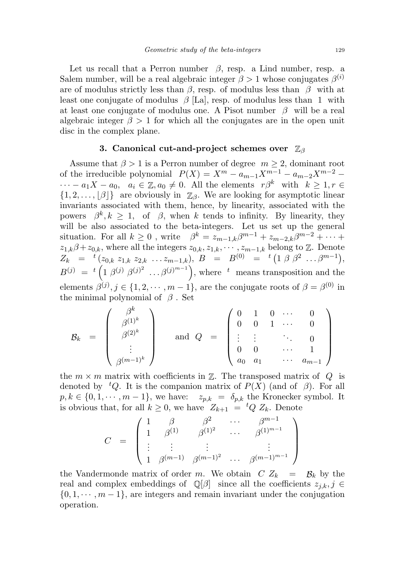Let us recall that a Perron number  $\beta$ , resp. a Lind number, resp. a Salem number, will be a real algebraic integer  $\beta > 1$  whose conjugates  $\beta^{(i)}$ are of modulus strictly less than  $\beta$ , resp. of modulus less than  $\beta$  with at least one conjugate of modulus  $\beta$  [La], resp. of modulus less than 1 with at least one conjugate of modulus one. A Pisot number  $\beta$  will be a real algebraic integer  $\beta > 1$  for which all the conjugates are in the open unit disc in the complex plane.

## 3. Canonical cut-and-project schemes over Z<sub>β</sub>

Assume that  $\beta > 1$  is a Perron number of degree  $m \geq 2$ , dominant root of the irreducible polynomial  $P(X) = X^m - a_{m-1}X^{m-1} - a_{m-2}X^{m-2}$  $\cdots - a_1X - a_0, \quad a_i \in \mathbb{Z}, a_0 \neq 0.$  All the elements  $r\beta^k$  with  $k \geq 1, r \in \mathbb{Z}$  $\{1, 2, \ldots, |\beta|\}\$ are obviously in  $\mathbb{Z}_{\beta}$ . We are looking for asymptotic linear invariants associated with them, hence, by linearity, associated with the powers  $\beta^k, k \geq 1$ , of  $\beta$ , when k tends to infinity. By linearity, they will be also associated to the beta-integers. Let us set up the general situation. For all  $k \geq 0$ , write  $\beta^k = z_{m-1,k} \beta^{m-1} + z_{m-2,k} \beta^{m-2} + \cdots$  $z_{1,k}\beta+z_{0,k}$ , where all the integers  $z_{0,k}, z_{1,k}, \cdots, z_{m-1,k}$  belong to  $\mathbb{Z}$ . Denote  $Z_k$  =  ${}^t(z_{0,k} z_{1,k} z_{2,k} \ldots z_{m-1,k}), B$  =  $B^{(0)}$  =  ${}^t(1 \beta \beta^2 \ldots \beta^{m-1}),$  $B^{(j)} = {}^{t} (1 \beta^{(j)} \beta^{(j)^2} \ldots \beta^{(j)^{m-1}}),$  where  ${}^{t}$  means transposition and the elements  $\beta^{(j)}$ ,  $j \in \{1, 2, \dots, m-1\}$ , are the conjugate roots of  $\beta = \beta^{(0)}$  in the minimal polynomial of  $\beta$ . Set

$$
\mathcal{B}_k = \begin{pmatrix} \beta^k \\ \beta^{(1)^k} \\ \beta^{(2)^k} \\ \vdots \\ \beta^{(m-1)^k} \end{pmatrix} \quad \text{and} \quad Q = \begin{pmatrix} 0 & 1 & 0 & \cdots & 0 \\ 0 & 0 & 1 & \cdots & 0 \\ \vdots & \vdots & & \ddots & 0 \\ 0 & 0 & & \cdots & 1 \\ a_0 & a_1 & & \cdots & a_{m-1} \end{pmatrix}
$$

the  $m \times m$  matrix with coefficients in  $\mathbb{Z}$ . The transposed matrix of  $Q$  is denoted by <sup>t</sup>Q. It is the companion matrix of  $P(X)$  (and of  $\beta$ ). For all  $p, k \in \{0, 1, \dots, m-1\}$ , we have:  $z_{p,k} = \delta_{p,k}$  the Kronecker symbol. It is obvious that, for all  $k \geq 0$ , we have  $Z_{k+1} = {}^{t}Q Z_{k}$ . Denote

$$
C = \begin{pmatrix} 1 & \beta & \beta^2 & \cdots & \beta^{m-1} \\ 1 & \beta^{(1)} & \beta^{(1)^2} & \cdots & \beta^{(1)^{m-1}} \\ \vdots & \vdots & & \vdots & \vdots \\ 1 & \beta^{(m-1)} & \beta^{(m-1)^2} & \cdots & \beta^{(m-1)^{m-1}} \end{pmatrix}
$$

the Vandermonde matrix of order m. We obtain  $C Z_k = \mathcal{B}_k$  by the real and complex embeddings of  $\mathbb{Q}[\beta]$  since all the coefficients  $z_{j,k}, j \in$  $\{0, 1, \dots, m-1\}$ , are integers and remain invariant under the conjugation operation.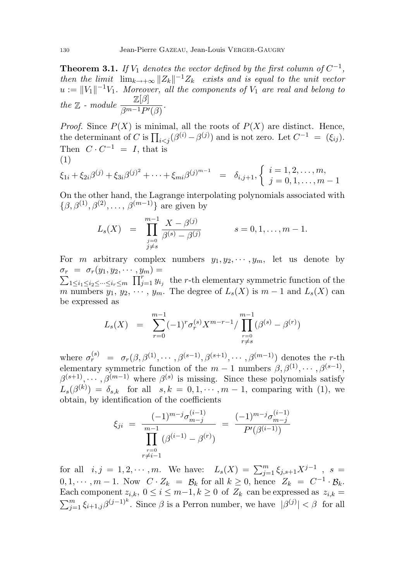**Theorem 3.1.** If  $V_1$  denotes the vector defined by the first column of  $C^{-1}$ , then the limit  $\lim_{k\to+\infty} ||Z_k||^{-1}Z_k$  exists and is equal to the unit vector  $u := ||V_1||^{-1}V_1$ . Moreover, all the components of  $V_1$  are real and belong to the  $\mathbb{Z}$  - module  $\frac{\mathbb{Z}[\beta]}{\beta^{m-1}P'(\beta)}$ .

*Proof.* Since  $P(X)$  is minimal, all the roots of  $P(X)$  are distinct. Hence, the determinant of C is  $\prod_{i < j} (\beta^{(i)} - \beta^{(j)})$  and is not zero. Let  $C^{-1} = (\xi_{ij})$ . Then  $C \cdot C^{-1} = I$ , that is (1)

$$
\xi_{1i} + \xi_{2i}\beta^{(j)} + \xi_{3i}\beta^{(j)^2} + \dots + \xi_{mi}\beta^{(j)^{m-1}} = \delta_{i,j+1}, \begin{cases} i = 1, 2, \dots, m, \\ j = 0, 1, \dots, m-1 \end{cases}
$$

On the other hand, the Lagrange interpolating polynomials associated with  $\{\beta, \beta^{(1)}, \beta^{(2)}, \ldots, \beta^{(m-1)}\}\$ are given by

$$
L_s(X) = \prod_{\substack{j=0 \\ j \neq s}}^{m-1} \frac{X - \beta^{(j)}}{\beta^{(s)} - \beta^{(j)}} \qquad s = 0, 1, \dots, m-1.
$$

For m arbitrary complex numbers  $y_1, y_2, \dots, y_m$ , let us denote by  $\sigma_r = \sigma_r(y_1, y_2, \cdots, y_m) =$  $\sigma_r = \sigma_r(y_1, y_2, \dots, y_m) = \sum_{1 \le i_1 \le i_2 \le \dots \le i_r \le m} \prod_{j=1}^r y_{i_j}$  the r-th elementary symmetric function of the m numbers  $y_1, y_2, \dots, y_m$ . The degree of  $L_s(X)$  is  $m-1$  and  $L_s(X)$  can be expressed as

$$
L_s(X) = \sum_{r=0}^{m-1} (-1)^r \sigma_r^{(s)} X^{m-r-1} / \prod_{\substack{r=0 \ r \neq s}}^{m-1} (\beta^{(s)} - \beta^{(r)})
$$

where  $\sigma_r^{(s)} = \sigma_r(\beta, \beta^{(1)}, \cdots, \beta^{(s-1)}, \beta^{(s+1)}, \cdots, \beta^{(m-1)})$  denotes the *r*-th elementary symmetric function of the  $m-1$  numbers  $\beta, \beta^{(1)}, \cdots, \beta^{(s-1)}$ ,  $\beta^{(s+1)}, \cdots, \beta^{(m-1)}$  where  $\beta^{(s)}$  is missing. Since these polynomials satisfy  $L_s(\beta^{(k)}) = \delta_{s,k}$  for all  $s, k = 0, 1, \cdots, m-1$ , comparing with (1), we obtain, by identification of the coefficients

$$
\xi_{ji} = \frac{(-1)^{m-j} \sigma_{m-j}^{(i-1)}}{\prod_{\substack{r=0 \ r \neq i-1}}^{m-1} (\beta^{(i-1)} - \beta^{(r)})} = \frac{(-1)^{m-j} \sigma_{m-j}^{(i-1)}}{P'(\beta^{(i-1)})}
$$

for all  $i, j = 1, 2, \cdots, m$ . We have:  $L_s(X) = \sum_{j=1}^m \xi_{j,s+1} X^{j-1}$ ,  $s =$  $0, 1, \dots, m-1$ . Now  $C \cdot Z_k = \mathcal{B}_k$  for all  $k \geq 0$ , hence  $Z_k = C^{-1} \cdot \mathcal{B}_k$ . Each component  $z_{i,k}$ ,  $0 \le i \le m-1, k \ge 0$  of  $Z_k$  can be expressed as  $z_{i,k}$  $\sum_{j=1}^m \xi_{i+1,j} \beta^{(j-1)^k}$ . Since  $\beta$  is a Perron number, we have  $|\beta^{(j)}| < \beta$  for all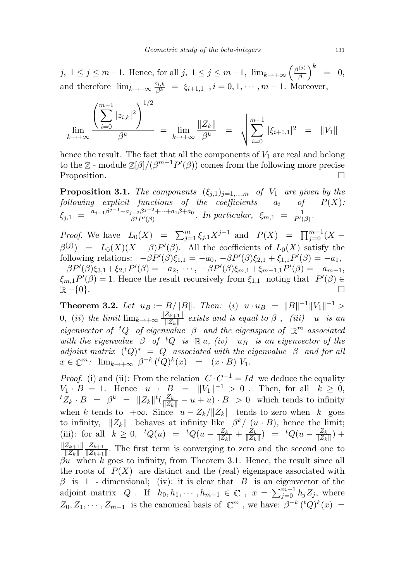j,  $1 \leq j \leq m-1$ . Hence, for all j,  $1 \leq j \leq m-1$ ,  $\lim_{k \to +\infty} \left(\frac{\beta^{(j)}}{\beta}\right)$  $\frac{\beta^{(j)}}{\beta}\Big)^k$ = 0, and therefore  $\lim_{k \to +\infty} \frac{z_{i,k}}{\beta^k} = \xi_{i+1,1}$ ,  $i = 0, 1, \dots, m-1$ . Moreover,

$$
\lim_{k \to +\infty} \frac{\left(\sum_{i=0}^{m-1} |z_{i,k}|^2\right)^{1/2}}{\beta^k} = \lim_{k \to +\infty} \frac{\|Z_k\|}{\beta^k} = \sqrt{\sum_{i=0}^{m-1} |\xi_{i+1,1}|^2} = \|V_1\|
$$

hence the result. The fact that all the components of  $V_1$  are real and belong to the  $\mathbb{Z}$  - module  $\mathbb{Z}[\beta]/(\beta^{m-1}P'(\beta))$  comes from the following more precise Proposition.

**Proposition 3.1.** The components  $(\xi_{j,1})_{j=1,\dots,m}$  of  $V_1$  are given by the following explicit functions of the coefficients  $a_i$  of  $P(X)$ :  $\xi_{j,1} = \frac{a_{j-1}\beta^{j-1} + a_{j-2}\beta^{j-2} + \dots + a_1\beta + a_0}{\beta^j P'(\beta)}$  $\frac{1}{\beta^j} \frac{\beta^{j-2} + \dots + a_1 \beta + a_0}{\beta^j P'(\beta)}$ . In particular,  $\xi_{m,1} = \frac{1}{P'(\beta)}$ .

*Proof.* We have  $L_0(X) = \sum_{j=1}^m \xi_{j,1} X^{j-1}$  and  $P(X) = \prod_{j=0}^{m-1} (X \beta^{(j)}$  =  $L_0(X)(X - \beta)P'(\beta)$ . All the coefficients of  $L_0(X)$  satisfy the following relations:  $-\beta P'(\beta)\xi_{1,1} = -a_0, -\beta P'(\beta)\xi_{2,1} + \xi_{1,1}P'(\beta) = -a_1,$  $-\beta P'(\beta)\xi_{3,1} + \xi_{2,1}P'(\beta) = -a_2, \cdots, -\beta P'(\beta)\xi_{m,1} + \xi_{m-1,1}P'(\beta) = -a_{m-1},$  $\xi_{m,1}P'(\beta) = 1.$  Hence the result recursively from  $\xi_{1,1}$  noting that  $P'(\beta) \in$  $\mathbb{R} - \{0\}.$ 

**Theorem 3.2.** Let  $u_B := B/||B||$ . Then: (i)  $u \cdot u_B = ||B||^{-1}||V_1||^{-1} >$ 0, (ii) the limit  $\lim_{k\to+\infty}\frac{\|Z_{k+1}\|}{\|Z_{k}\|}$  $\frac{Z_{k+1}||}{||Z_{k}||}$  exists and is equal to  $\beta$  , (iii) u is an eigenvector of <sup>t</sup>Q of eigenvalue  $\beta$  and the eigenspace of  $\mathbb{R}^m$  associated with the eigenvalue  $\beta$  of <sup>t</sup>Q is  $\mathbb{R} u$ , (iv) u<sub>B</sub> is an eigenvector of the adjoint matrix  $({}^{t}Q)^{*} = Q$  associated with the eigenvalue  $\beta$  and for all  $x \in \mathbb{C}^m$ :  $\lim_{k \to +\infty} \beta^{-k} ({}^t Q)^k(x) = (x \cdot B) V_1$ .

*Proof.* (i) and (ii): From the relation  $C \cdot C^{-1} = Id$  we deduce the equality  $V_1 \cdot B = 1$ . Hence  $u \cdot B = ||V_1||^{-1} > 0$ . Then, for all  $k \ge 0$ ,  ${}^tZ_k \cdot B = \beta^k = ||Z_k||^t \left( \frac{Z_k}{||Z_k||} - u + u \right) \cdot B > 0$  which tends to infinity when k tends to  $+\infty$ . Since  $u - Z_k / ||Z_k||$  tends to zero when k goes to infinity,  $||Z_k||$  behaves at infinity like  $\beta^k/(u \cdot B)$ , hence the limit; (iii): for all  $k \ge 0$ ,  ${}^tQ(u) = {}^tQ(u - \frac{Z_k}{\|Z_k\|} + \frac{Z_k}{\|Z_k\|})$  $\frac{Z_k}{\|Z_k\|}$ ) =  ${}^tQ(u-\frac{Z_k}{\|Z_k\|})$  $\frac{Z_k}{\|Z_k\|}$  +  $||Z_{k+1}||$  $\|Z_k\|$  $Z_{k+1}$  $\frac{2k+1}{\|Z_{k+1}\|}$ . The first term is converging to zero and the second one to  $\beta u$  when k goes to infinity, from Theorem 3.1. Hence, the result since all the roots of  $P(X)$  are distinct and the (real) eigenspace associated with  $\beta$  is 1 - dimensional; (iv): it is clear that B is an eigenvector of the adjoint matrix Q. If  $h_0, h_1, \cdots, h_{m-1} \in \mathbb{C}$ ,  $x = \sum_{j=0}^{m-1} h_j Z_j$ , where  $Z_0, Z_1, \cdots, Z_{m-1}$  is the canonical basis of  $\mathbb{C}^m$ , we have:  $\beta^{-k}$  (<sup>t</sup>Q)<sup>k</sup>(x) =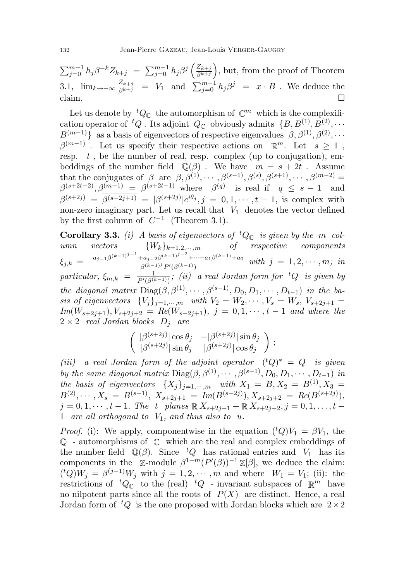$\sum_{j=0}^{m-1} h_j \beta^{-k} Z_{k+j} = \sum_{j=0}^{m-1} h_j \beta^j \left( \frac{Z_{k+j}}{\beta^{k+j}} \right)$  $\left( \frac{Z_{k+j}}{\beta^{k+j}} \right)$ , but, from the proof of Theorem 3.1,  $\lim_{k \to +\infty} \frac{Z_{k+j}}{\beta^{k+j}} = V_1$  and  $\sum_{j=0}^{m-1} h_j \beta^j = x \cdot B$ . We deduce the claim.

Let us denote by  ${}^tQ_{\mathbb{C}}$  the automorphism of  $\mathbb{C}^m$  which is the complexification operator of  ${}^tQ$ . Its adjoint  $Q_{\mathbb{C}}$  obviously admits  $\{B, B^{(1)}, B^{(2)}, \cdots\}$  $B^{(m-1)}$ } as a basis of eigenvectors of respective eigenvalues  $\beta, \beta^{(1)}, \beta^{(2)}, \cdots$  $\beta^{(m-1)}$ . Let us specify their respective actions on  $\mathbb{R}^m$ . Let  $s \geq 1$ , resp.  $t$ , be the number of real, resp. complex (up to conjugation), embeddings of the number field  $\mathbb{Q}(\beta)$ . We have  $m = s + 2t$ . Assume that the conjugates of  $\beta$  are  $\beta, \beta^{(1)}, \cdots, \beta^{(s-1)}, \beta^{(s)}, \beta^{(s+1)}, \cdots, \beta^{(m-2)}$  $\beta^{(s+2t-2)}, \beta^{(m-1)} = \beta^{(s+2t-1)}$  where  $\beta^{(q)}$  is real if  $q \leq s-1$  and  $\beta^{(s+2j)} = \beta^{(s+2j+1)} = |\beta^{(s+2j)}|e^{i\theta_j}, j = 0, 1, \cdots, t-1$ , is complex with non-zero imaginary part. Let us recall that  $V_1$  denotes the vector defined by the first column of  $C^{-1}$  (Theorem 3.1).

**Corollary 3.3.** (i) A basis of eigenvectors of <sup>t</sup> $Q_{\mathbb{C}}$  is given by the m col-<br>umn vectors  ${W_k}_{k=1,2,\cdots,m}$  of respective components umn vectors  ${W_k}_{k=1,2,\cdots,m}$  of respective components  $\xi_{j,k} = \frac{a_{j-1}\beta^{(k-1)j-1}+a_{j-2}\beta^{(k-1)j-2}+\cdots+a_1\beta^{(k-1)}+a_0}{\beta^{(k-1)j}P^{(k-1)j}}$  $\frac{(ka_j-2)\beta^{(k-1)}+\cdots+a_1\beta^{(k-1)}+ab}{\beta^{(k-1)j}\,P'(\beta^{(k-1)})}$  with  $j=1,2,\cdots,m;$  in particular,  $\xi_{m,k} = \frac{1}{P'(3)}$  $\frac{1}{P'(\beta^{(k-1)})}$ ; (ii) a real Jordan form for <sup>t</sup>Q is given by the diagonal matrix  $Diag(\beta, \beta^{(1)}, \cdots, \beta^{(s-1)}, D_0, D_1, \cdots, D_{t-1})$  in the basis of eigenvectors  $\{V_j\}_{j=1,\cdots,m}$  with  $V_2 = W_2, \cdots, V_s = W_s, V_{s+2j+1}$  $Im(W_{s+2j+1}), V_{s+2j+2} = Re(W_{s+2j+1}), j = 0, 1, \cdots, t-1$  and where the  $2 \times 2$  real Jordan blocks  $D_j$  are

$$
\begin{pmatrix}\n|\beta^{(s+2j)}|\cos\theta_j & -|\beta^{(s+2j)}|\sin\theta_j \\
|\beta^{(s+2j)}|\sin\theta_j & |\beta^{(s+2j)}|\cos\theta_j\n\end{pmatrix};
$$

(iii) a real Jordan form of the adjoint operator  $({}^{t}Q)^{*} = Q$  is given by the same diagonal matrix Diag( $\beta$ ,  $\beta$ <sup>(1)</sup>,  $\dots$ ,  $\beta$ <sup>(s-1)</sup>,  $D_0$ ,  $D_1$ ,  $\dots$ ,  $D_{t-1}$ ) in the basis of eigenvectors  $\{X_j\}_{j=1,\cdots,m}$  with  $X_1 = B, X_2 = B^{(1)}, X_3 =$  $B^{(2)}, \cdots, X_s = B^{(s-1)}, X_{s+2j+1} = Im(B^{(s+2j)}), X_{s+2j+2} = Re(B^{(s+2j)}),$  $j = 0, 1, \dots, t-1$ . The t planes  $\mathbb{R} X_{s+2j+1} + \mathbb{R} X_{s+2j+2}, j = 0, 1, \dots, t-1$ 1 are all orthogonal to  $V_1$ , and thus also to u.

*Proof.* (i): We apply, componentwise in the equation  $({}^{t}Q)V_1 = \beta V_1$ , the  $\mathbb{Q}$  - automorphisms of  $\mathbb{C}$  which are the real and complex embeddings of the number field  $\mathbb{Q}(\beta)$ . Since  ${}^tQ$  has rational entries and  $V_1$  has its components in the  $\mathbb{Z}$ -module  $\beta^{1-m}(P'(\beta))^{-1}\mathbb{Z}[\beta]$ , we deduce the claim:  $({}^{t}Q)W_j = \beta^{(j-1)}W_j$  with  $j = 1, 2, \cdots, m$  and where  $W_1 = V_1$ ; (ii): the restrictions of  ${}^tQ_{\mathbb{C}}$  to the (real)  ${}^tQ$  - invariant subspaces of  $\mathbb{R}^m$  have no nilpotent parts since all the roots of  $P(X)$  are distinct. Hence, a real Jordan form of  ${}^tQ$  is the one proposed with Jordan blocks which are  $2\times 2$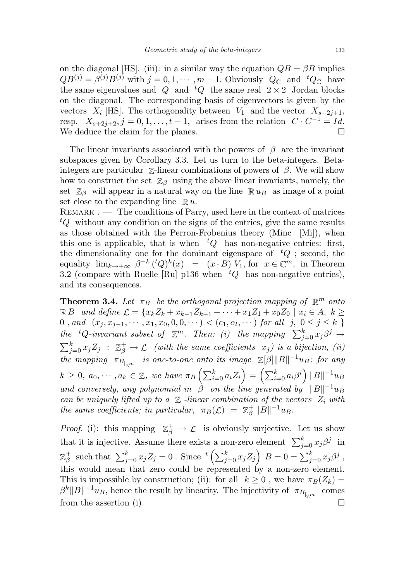on the diagonal [HS]. (iii): in a similar way the equation  $QB = \beta B$  implies  $QB^{(j)} = \beta^{(j)}B^{(j)}$  with  $j = 0, 1, \cdots, m-1$ . Obviously  $Q_{\mathbb{C}}$  and  ${}^{t}Q_{\mathbb{C}}$  have the same eigenvalues and Q and  ${}^tQ$  the same real  $2 \times 2$  Jordan blocks on the diagonal. The corresponding basis of eigenvectors is given by the vectors  $X_i$  [HS]. The orthogonality between  $V_1$  and the vector  $X_{s+2j+1}$ , resp.  $X_{s+2j+2}, j=0,1,\ldots,t-1$ , arises from the relation  $C \cdot C^{-1} = Id$ . We deduce the claim for the planes.  $\Box$ 

The linear invariants associated with the powers of  $\beta$  are the invariant subspaces given by Corollary 3.3. Let us turn to the beta-integers. Betaintegers are particular  $\mathbb{Z}$ -linear combinations of powers of  $\beta$ . We will show how to construct the set  $\mathbb{Z}_{\beta}$  using the above linear invariants, namely, the set  $\mathbb{Z}_{\beta}$  will appear in a natural way on the line  $\mathbb{R} u_B$  as image of a point set close to the expanding line  $\mathbb{R} u$ .

 $REMARK$ .  $\longrightarrow$  The conditions of Parry, used here in the context of matrices  ${}^tQ$  without any condition on the signs of the entries, give the same results as those obtained with the Perron-Frobenius theory (Minc [Mi]), when this one is applicable, that is when  ${}^tQ$  has non-negative entries: first, the dimensionality one for the dominant eigenspace of  ${}^tQ$ ; second, the equality  $\lim_{k \to +\infty} \beta^{-k} ({}^tQ)^k(x) = (x \cdot B) V_1$ , for  $x \in \mathbb{C}^m$ , in Theorem 3.2 (compare with Ruelle [Ru] p136 when  $tQ$  has non-negative entries), and its consequences.

**Theorem 3.4.** Let  $\pi_B$  be the orthogonal projection mapping of  $\mathbb{R}^m$  onto  $\mathbb{R}$  *B* and define  $\mathcal{L} = \{x_k Z_k + x_{k-1} Z_{k-1} + \cdots + x_1 Z_1 + x_0 Z_0 \mid x_i \in A, k \geq 0\}$ 0, and  $(x_j, x_{j-1}, \dots, x_1, x_0, 0, 0, \dots) < (c_1, c_2, \dots)$  for all  $j, 0 \le j \le k$ the <sup>t</sup>Q-invariant subset of  $\mathbb{Z}^m$ . Then: (i) the mapping  $\sum_{j=0}^k x_j \beta^j \rightarrow$  $\sum_{j=0}^k x_j Z_j$  :  $\mathbb{Z}_{\beta}^+ \to \mathcal{L}$  (with the same coefficients  $x_j$ ) is a bijection, (ii) the mapping  $\pi_{B_{\vert_{\mathbb{Z}^m}}}$  is one-to-one onto its image  $\mathbb{Z}[\beta]\|B\|^{-1}u_B$ : for any  $k \geq 0, a_0, \cdots, a_k \in \mathbb{Z}$ , we have  $\pi_B\left(\sum_{i=0}^k a_i Z_i\right) = \left(\sum_{i=0}^k a_i \beta^i\right) ||B||^{-1} u_B$ and conversely, any polynomial in  $\beta$  on the line generated by  $||B||^{-1}u_B$ can be uniquely lifted up to a  $\mathbb Z$  -linear combination of the vectors  $Z_i$  with the same coefficients; in particular,  $\pi_B(\mathcal{L}) = \mathbb{Z}_\beta^+$  $_{\beta}^{+}\|B\|^{-1}u_{B}.$ 

*Proof.* (i): this mapping  $\mathbb{Z}_{\beta}^{+} \to \mathcal{L}$  is obviously surjective. Let us show that it is injective. Assume there exists a non-zero element  $\sum_{j=0}^{k} x_j \beta^j$  in  $\mathbb{Z}_q^+$ <sup>+</sup> such that  $\sum_{j=0}^k x_j Z_j = 0$ . Since  ${}^t \left( \sum_{j=0}^k x_j Z_j \right) B = 0 = \sum_{j=0}^k x_j \beta^j$ , this would mean that zero could be represented by a non-zero element. This is impossible by construction; (ii): for all  $k \geq 0$ , we have  $\pi_B(Z_k) =$  $\beta^k ||B||^{-1}u_B$ , hence the result by linearity. The injectivity of  $\pi_{B|_{\mathbb{Z}^m}}$ comes from the assertion (i).  $\Box$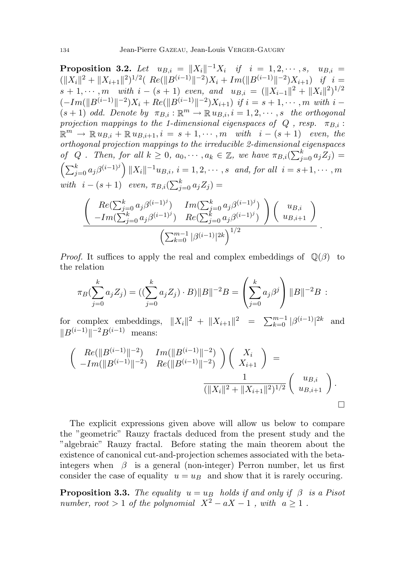**Proposition 3.2.** Let  $u_{B,i} = ||X_i||^{-1}X_i$  if  $i = 1, 2, \dots, s$ ,  $u_{B,i} =$  $(\|X_i\|^2 + \|X_{i+1}\|^2)^{1/2} (Re(\|B^{(i-1)}\|^{-2})X_i + Im(\|B^{(i-1)}\|^{-2})X_{i+1})$  if  $i =$  $s + 1, \cdots, m$  with  $i - (s + 1)$  even, and  $u_{B,i} = (||X_{i-1}||^2 + ||X_i||^2)^{1/2}$  $(-Im(||B^{(i-1)}||^{-2})X_i + Re(||B^{(i-1)}||^{-2})X_{i+1})$  if  $i = s + 1, \cdots, m$  with  $i (s+1)$  odd. Denote by  $\pi_{B,i} : \mathbb{R}^m \to \mathbb{R}$   $u_{B,i}, i = 1, 2, \cdots, s$  the orthogonal projection mappings to the 1-dimensional eigenspaces of  $Q$ , resp.  $\pi_{B,i}$ :  $\mathbb{R}^m \to \mathbb{R} u_{B,i} + \mathbb{R} u_{B,i+1}, i = s+1, \cdots, m$  with  $i - (s+1)$  even, the orthogonal projection mappings to the irreducible 2-dimensional eigenspaces of Q. Then, for all  $k \geq 0$ ,  $a_0, \dots, a_k \in \mathbb{Z}$ , we have  $\pi_{B,i}(\sum_{j=0}^k a_j Z_j) =$  $\left(\sum_{j=0}^k a_j \beta^{(i-1)^j}\right) ||X_i||^{-1} u_{B,i}, i = 1, 2, \cdots, s \text{ and, for all } i = s+1, \cdots, m$ with  $i - (s + 1)$  even,  $\pi_{B,i}(\sum_{j=0}^k a_j Z_j) =$ 

$$
\frac{\left( \begin{array}{cc} Re(\sum_{j=0}^{k} a_j \beta^{(i-1)^j}) & Im(\sum_{j=0}^{k} a_j \beta^{(i-1)^j}) \\ -Im(\sum_{j=0}^{k} a_j \beta^{(i-1)^j}) & Re(\sum_{j=0}^{k} a_j \beta^{(i-1)^j}) \end{array} \right) \left( \begin{array}{c} u_{B,i} \\ u_{B,i+1} \end{array} \right)}{\left( \sum_{k=0}^{m-1} |\beta^{(i-1)}|^{2k} \right)^{1/2}}.
$$

*Proof.* It suffices to apply the real and complex embeddings of  $\mathbb{Q}(\beta)$  to the relation

$$
\pi_B(\sum_{j=0}^k a_j Z_j) = ((\sum_{j=0}^k a_j Z_j) \cdot B) ||B||^{-2} B = \left(\sum_{j=0}^k a_j \beta^j\right) ||B||^{-2} B :
$$

for complex embeddings,  $||X_i||^2 + ||X_{i+1}||^2 = \sum_{k=0}^{m-1} |\beta^{(i-1)}|^{2k}$  and  $||B^{(i-1)}||^{-2}B^{(i-1)}$  means:

$$
\begin{pmatrix}\n\Re(\|B^{(i-1)}\|^{-2}) & Im(\|B^{(i-1)}\|^{-2}) \\
-Im(\|B^{(i-1)}\|^{-2}) & Re(\|B^{(i-1)}\|^{-2})\n\end{pmatrix}\n\begin{pmatrix}\nX_i \\
X_{i+1}\n\end{pmatrix} = \n\frac{1}{(\|X_i\|^2 + \|X_{i+1}\|^2)^{1/2}}\n\begin{pmatrix}\nu_{B,i} \\
u_{B,i+1}\n\end{pmatrix}.
$$

The explicit expressions given above will allow us below to compare the "geometric" Rauzy fractals deduced from the present study and the "algebraic" Rauzy fractal. Before stating the main theorem about the existence of canonical cut-and-projection schemes associated with the betaintegers when  $\beta$  is a general (non-integer) Perron number, let us first consider the case of equality  $u = u_B$  and show that it is rarely occuring.

**Proposition 3.3.** The equality  $u = u_B$  holds if and only if  $\beta$  is a Pisot number, root > 1 of the polynomial  $X^2 - aX - 1$ , with  $a \ge 1$ .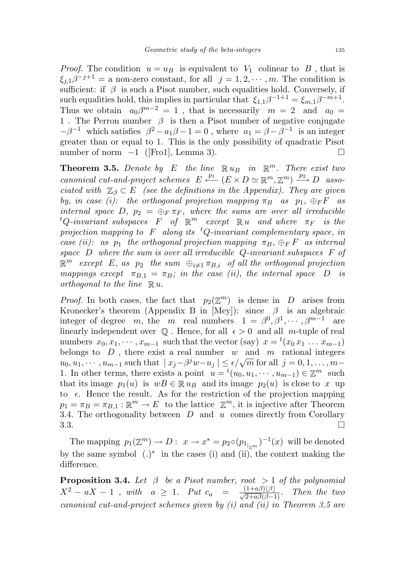*Proof.* The condition  $u = u_B$  is equivalent to  $V_1$  colinear to  $B$ , that is  $\xi_{j,1}\beta^{-j+1} =$  a non-zero constant, for all  $j = 1, 2, \dots, m$ . The condition is sufficient: if  $\beta$  is such a Pisot number, such equalities hold. Conversely, if such equalities hold, this implies in particular that  $\xi_{1,1}\beta^{-1+1} = \xi_{m,1}\beta^{-m+1}$ . Thus we obtain  $a_0\beta^{m-2} = 1$ , that is necessarily  $m = 2$  and  $a_0 =$ 1. The Perron number  $\beta$  is then a Pisot number of negative conjugate  $-\beta^{-1}$  which satisfies  $\beta^2 - a_1\beta - 1 = 0$ , where  $a_1 = \beta - \beta^{-1}$  is an integer greater than or equal to 1. This is the only possibility of quadratic Pisot number of norm  $-1$  ([Fro1], Lemma 3). □

**Theorem 3.5.** Denote by E the line  $\mathbb{R} u_B$  in  $\mathbb{R}^m$ . There exist two canonical cut-and-project schemes  $E \stackrel{p_1}{\longleftarrow} (E \times D \simeq \mathbb{R}^m, \mathbb{Z}^m) \stackrel{p_2}{\longrightarrow} D$  associated with  $\mathbb{Z}_{\beta} \subset E$  (see the definitions in the Appendix). They are given by, in case (i): the orthogonal projection mapping  $\pi_B$  as  $p_1$ ,  $\bigoplus_F F$  as internal space D,  $p_2 = \bigoplus_F \pi_F$ , where the sums are over all irreducible  ${}^tQ\text{-}invariant\,\,subspaces \,\,\, F \,\,\,\,\, of \,\,\, \mathbb{R}^m \,\,\,\, except \,\,\, \mathbb{R}\, u \,\,\,\, and \,\, where \,\,\,\, \pi_F \,\,\, \, is \,\, the \,\,\, \tau_F \,\,\, is \,\, the \,\,\, \tau_F \,\,\, is \,\, the \,\,\, \tau_F \,\,\, is \,\, the \,\,\, \tau_F \,\,\, is \,\, the \,\,\, \tau_F \,\,\, is \,\, the \,\,\, \tau_F \,\,\, is \,\, the \,\,\, \tau_F \,\,\, is \,\, the \,\,\, \tau_F \,\,\, is \,\, the \,\,\, \tau$ projection mapping to  $F$  along its <sup>t</sup>Q-invariant complementary space, in case (ii): as  $p_1$  the orthogonal projection mapping  $\pi_B$ ,  $\bigoplus_F F$  as internal space  $D$  where the sum is over all irreducible  $Q$ -invariant subspaces  $F$  of  $\mathbb{R}^m$  except E, as  $p_2$  the sum  $\oplus_{i\neq 1} \pi_{B,i}$  of all the orthogonal projection mappings except  $\pi_{B,1} = \pi_B$ ; in the case (ii), the internal space D is orthogonal to the line  $\mathbb{R} u$ .

*Proof.* In both cases, the fact that  $p_2(\mathbb{Z}^m)$  is dense in D arises from Kronecker's theorem (Appendix B in [Mey]): since  $\beta$  is an algebraic integer of degree m, the m real numbers  $1 = \beta^0, \beta^1, \cdots, \beta^{m-1}$  are linearly independent over  $\mathbb Q$ . Hence, for all  $\epsilon > 0$  and all m-tuple of real numbers  $x_0, x_1, \cdots, x_{m-1}$  such that the vector (say)  $x = {}^t(x_0 x_1 \ldots x_{m-1})$ belongs to  $D$ , there exist a real number  $w$  and  $m$  rational integers belongs to D, there exist a real number w and m rational integers  $u_0, u_1, \dots, u_{m-1}$  such that  $|x_j - \beta^j w - u_j| \le \epsilon/\sqrt{m}$  for all  $j = 0, 1, \dots, m-1$ 1. In other terms, there exists a point  $u = t(u_0, u_1, \dots, u_{m-1}) \in \mathbb{Z}^m$  such that its image  $p_1(u)$  is  $wB \in \mathbb{R} u_B$  and its image  $p_2(u)$  is close to x up to  $\epsilon$ . Hence the result. As for the restriction of the projection mapping  $p_1 = \pi_B = \pi_{B,1} : \mathbb{R}^m \to E$  to the lattice  $\mathbb{Z}^m$ , it is injective after Theorem 3.4. The orthogonality between  $D$  and  $u$  comes directly from Corollary  $3.3.$ 

The mapping  $p_1(\mathbb{Z}^m) \to D: x \to x^* = p_2 \circ (p_{1_{\vert_{\mathbb{Z}^m}}})^{-1}(x)$  will be denoted by the same symbol  $(.)^*$  in the cases (i) and (ii), the context making the difference.

**Proposition 3.4.** Let  $\beta$  be a Pisot number, root  $> 1$  of the polynomial  $X^2 - aX - 1$ , with  $a \geq 1$ . Put  $c_a = \frac{(1+a\beta)\lfloor \beta \rfloor}{\sqrt{2+a\beta(\beta-1)}}$ . Then the two canonical cut-and-project schemes given by  $(i)$  and  $(ii)$  in Theorem 3.5 are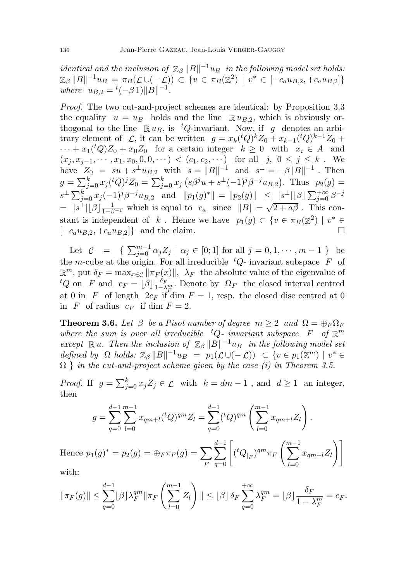*identical and the inclusion of*  $\mathbb{Z}_{\beta} ||B||^{-1}u_B$  *in the following model set holds.*  $\mathbb{Z}_{\beta} ||B||^{-1} u_B = \pi_B(\mathcal{L} \cup (-\mathcal{L})) \subset \{v \in \pi_B(\mathbb{Z}^2) \mid v^* \in [-c_a u_{B,2}, +c_a u_{B,2}]\}$ where  $u_{B,2} = {}^{t}(-\beta 1) ||B||^{-1}$ .

Proof. The two cut-and-project schemes are identical: by Proposition 3.3 the equality  $u = u_B$  holds and the line  $\mathbb{R} u_{B,2}$ , which is obviously orthogonal to the line  $\mathbb{R} u_B$ , is <sup>t</sup>Q-invariant. Now, if g denotes an arbitrary element of  $\mathcal{L}$ , it can be written  $g = x_k({}^tQ)^k Z_0 + x_{k-1}({}^tQ)^{k-1} Z_0 +$  $\cdots + x_1({}^tQ)Z_0 + x_0Z_0$  for a certain integer  $k \geq 0$  with  $x_i \in A$  and  $(x_j, x_{j-1}, \dots, x_1, x_0, 0, 0, \dots) < (c_1, c_2, \dots)$  for all j,  $0 \le j \le k$ . We have  $Z_0 = su + s^{\perp} u_{B,2}$  with  $s = ||B||^{-1}$  and  $s^{\perp} = -\beta ||B||^{-1}$ . Then  $g = \sum_{j=0}^{k} x_j({}^{t}Q)^j Z_0 = \sum_{j=0}^{k} x_j (s\beta^{j}u + s^{\perp}(-1)^j \beta^{-j}u_{B,2}).$  Thus  $p_2(g)$  $s^{\perp} \sum_{j=0}^{k} x_j (-1)^j \beta^{-j} u_{B,2}$  and  $||p_1(g)^*|| = ||p_2(g)|| \leq |s^{\perp}||\beta| \sum_{j=0}^{+\infty} \beta^{-j}$  $= |s^{\perp}| [\beta] \frac{1}{1-\beta^{-1}}$  which is equal to  $c_a$  since  $||B|| =$ √  $\sqrt{2+a\beta}$  . This constant is independent of k. Hence we have  $p_1(g) \subset \{v \in \pi_B(\mathbb{Z}^2) \mid v^* \in$  $[-c_a u_{B,2}, +c_a u_{B,2}]$ } and the claim.

Let  $C = \{ \sum_{j=0}^{m-1} \alpha_j Z_j \mid \alpha_j \in [0;1] \text{ for all } j = 0, 1, \dots, m-1 \}$  be the m-cube at the origin. For all irreducible  ${}^tQ$ - invariant subspace F of  $\mathbb{R}^m$ , put  $\delta_F = \max_{x \in \mathcal{C}} ||\pi_F(x)||$ ,  $\lambda_F$  the absolute value of the eigenvalue of  ${}^tQ$  on F and  $c_F = \lfloor \beta \rfloor \frac{\delta_F}{1-\lambda_F^m}$ . Denote by  $\Omega_F$  the closed interval centred at 0 in F of length  $2c_F$  if dim  $F = 1$ , resp. the closed disc centred at 0 in F of radius  $c_F$  if dim  $F = 2$ .

**Theorem 3.6.** Let  $\beta$  be a Pisot number of degree  $m \geq 2$  and  $\Omega = \bigoplus_F \Omega_F$ where the sum is over all irreducible  ${}^tQ$ - invariant subspace  $F$  of  $\mathbb{R}^m$ except  $\mathbb{R} u$ . Then the inclusion of  $\mathbb{Z}_{\beta} ||B||^{-1}u_B$  in the following model set defined by  $\Omega$  holds:  $\mathbb{Z}_{\beta} ||B||^{-1}u_B = p_1(\mathcal{L} \cup (-\mathcal{L})) \subset \{v \in p_1(\mathbb{Z}^m) \mid v^* \in$  $\Omega$  } in the cut-and-project scheme given by the case (i) in Theorem 3.5.

*Proof.* If  $g = \sum_{j=0}^{k} x_j Z_j \in \mathcal{L}$  with  $k = dm - 1$ , and  $d \ge 1$  an integer, then

$$
g = \sum_{q=0}^{d-1} \sum_{l=0}^{m-1} x_{qm+l} ({}^{t}Q)^{qm} Z_{l} = \sum_{q=0}^{d-1} ({}^{t}Q)^{qm} \left( \sum_{l=0}^{m-1} x_{qm+l} Z_{l} \right).
$$
  
Hence  $p_1(g)^* = p_2(g) = \bigoplus_{F} \pi_F(g) = \sum_{F} \sum_{q=0}^{d-1} \left[ ({}^{t}Q_{|F})^{qm} \pi_F \left( \sum_{l=0}^{m-1} x_{qm+l} Z_{l} \right) \right]$ 

with:

$$
\|\pi_F(g)\| \le \sum_{q=0}^{d-1} \lfloor \beta \rfloor \lambda_F^{qm} \|\pi_F\left(\sum_{l=0}^{m-1} Z_l\right)\| \le \lfloor \beta \rfloor \delta_F \sum_{q=0}^{+\infty} \lambda_F^{qm} = \lfloor \beta \rfloor \frac{\delta_F}{1-\lambda_F^m} = c_F.
$$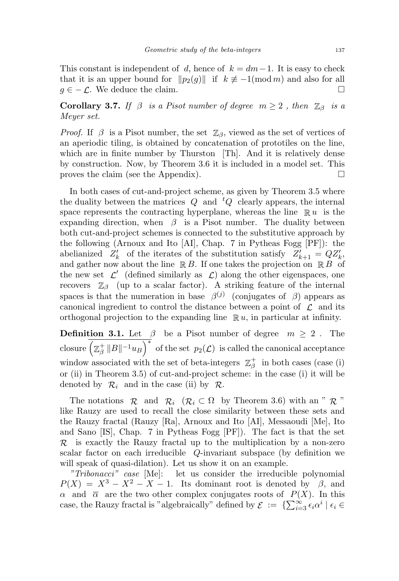This constant is independent of d, hence of  $k = dm-1$ . It is easy to check that it is an upper bound for  $\|p_2(g)\|$  if  $k \not\equiv -1(\text{mod } m)$  and also for all  $g \in -\mathcal{L}$ . We deduce the claim.

Corollary 3.7. If  $\beta$  is a Pisot number of degree  $m \geq 2$ , then  $\mathbb{Z}_{\beta}$  is a Meyer set.

*Proof.* If  $\beta$  is a Pisot number, the set  $\mathbb{Z}_{\beta}$ , viewed as the set of vertices of an aperiodic tiling, is obtained by concatenation of prototiles on the line, which are in finite number by Thurston [Th]. And it is relatively dense by construction. Now, by Theorem 3.6 it is included in a model set. This proves the claim (see the Appendix).

In both cases of cut-and-project scheme, as given by Theorem 3.5 where the duality between the matrices  $Q$  and  ${}^tQ$  clearly appears, the internal space represents the contracting hyperplane, whereas the line  $\mathbb{R} u$  is the expanding direction, when  $\beta$  is a Pisot number. The duality between both cut-and-project schemes is connected to the substitutive approach by the following (Arnoux and Ito [AI], Chap. 7 in Pytheas Fogg [PF]): the abelianized  $Z'_k$  of the iterates of the substitution satisfy  $Z'_{k+1} = QZ'_k$ , and gather now about the line  $\mathbb{R} B$ . If one takes the projection on  $\mathbb{R} B$  of the new set  $\mathcal{L}'$  (defined similarly as  $\mathcal{L}$ ) along the other eigenspaces, one recovers  $\mathbb{Z}_{\beta}$  (up to a scalar factor). A striking feature of the internal spaces is that the numeration in base  $\beta^{(j)}$  (conjugates of  $\beta$ ) appears as canonical ingredient to control the distance between a point of  $\mathcal L$  and its orthogonal projection to the expanding line  $\mathbb{R} u$ , in particular at infinity.

**Definition 3.1.** Let  $\beta$  be a Pisot number of degree  $m \geq 2$ . The closure  $\left(\mathbb{Z}_\beta^+\right)$  $\overline{\frac{1}{\beta}\, \|B\|^{-1}u_B\Big)^*}\,$  of the set  $\,p_2({\cal L})\,$  is called the canonical acceptance window associated with the set of beta-integers  $\mathbb{Z}_q^+$  $\frac{1}{\beta}$  in both cases (case (i) or (ii) in Theorem 3.5) of cut-and-project scheme: in the case (i) it will be denoted by  $\mathcal{R}_i$  and in the case (ii) by  $\mathcal{R}_i$ .

The notations  $\mathcal{R}$  and  $\mathcal{R}_i$  ( $\mathcal{R}_i \subset \Omega$  by Theorem 3.6) with an "  $\mathcal{R}$ " like Rauzy are used to recall the close similarity between these sets and the Rauzy fractal (Rauzy [Ra], Arnoux and Ito [AI], Messaoudi [Me], Ito and Sano [IS], Chap. 7 in Pytheas Fogg [PF]). The fact is that the set  $\mathcal{R}$  is exactly the Rauzy fractal up to the multiplication by a non-zero scalar factor on each irreducible Q-invariant subspace (by definition we will speak of quasi-dilation). Let us show it on an example.

"Tribonacci" case [Me]: let us consider the irreducible polynomial  $P(X) = X^3 - X^2 - X - 1$ . Its dominant root is denoted by  $\beta$ , and  $\alpha$  and  $\overline{\alpha}$  are the two other complex conjugates roots of  $P(X)$ . In this case, the Rauzy fractal is "algebraically" defined by  $\mathcal{E} := \{\sum_{i=3}^{\infty} \epsilon_i \alpha^i \mid \epsilon_i \in$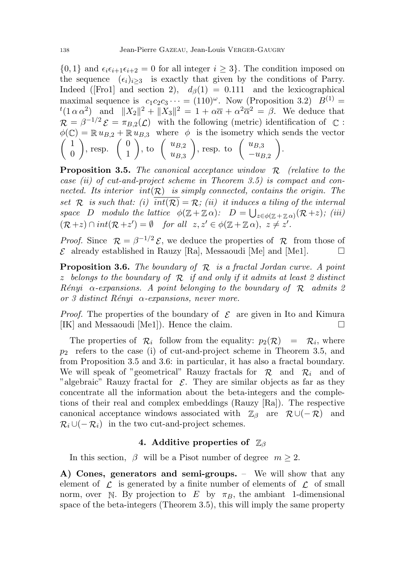$\{0,1\}$  and  $\epsilon_i \epsilon_{i+1} \epsilon_{i+2} = 0$  for all integer  $i \geq 3$ . The condition imposed on the sequence  $(\epsilon_i)_{i>3}$  is exactly that given by the conditions of Parry. Indeed ([Fro1] and section 2),  $d_{\beta}(1) = 0.111$  and the lexicographical maximal sequence is  $c_1c_2c_3\cdots = (110)^{\omega}$ . Now (Proposition 3.2)  $B^{(1)} =$  $t(1 \alpha \alpha^2)$  and  $||X_2||^2 + ||X_3||^2 = 1 + \alpha \overline{\alpha} + \alpha^2 \overline{\alpha}^2 = \beta$ . We deduce that  $\mathcal{R} = \beta^{-1/2} \mathcal{E} = \pi_{B,2}(\mathcal{L})$  with the following (metric) identification of  $\mathbb{C}$ :  $\phi(\mathbb{C}) = \mathbb{R} u_{B,2} + \mathbb{R} u_{B,3}$  where  $\phi$  is the isometry which sends the vector  $\begin{pmatrix} 1 \end{pmatrix}$ 0 ), resp.  $\begin{pmatrix} 0 \\ 1 \end{pmatrix}$ 1 ), to  $\left(\begin{array}{c} u_{B,2} \\ u_{\infty} \end{array}\right)$  $u_{B,3}$ ), resp. to  $\begin{pmatrix} u_{B,3} \\ u_{\overline{B}} \end{pmatrix}$  $-u_{B,2}$ .

**Proposition 3.5.** The canonical acceptance window  $\mathcal{R}$  (relative to the case (ii) of cut-and-project scheme in Theorem 3.5) is compact and connected. Its interior  $int(\mathcal{R})$  is simply connected, contains the origin. The set R is such that: (i)  $\overline{int(R)} = R$ ; (ii) it induces a tiling of the internal space D modulo the lattice  $\phi(\mathbb{Z}+\mathbb{Z}\alpha)$ :  $D = \bigcup_{z \in \phi(\mathbb{Z}+\mathbb{Z}\alpha)} (\mathcal{R}+z)$ ; (iii)  $(\mathcal{R}+z) \cap int(\mathcal{R}+z') = \emptyset$  for all  $z, z' \in \phi(\mathbb{Z}+\mathbb{Z}\alpha), \ z \neq z'.$ 

*Proof.* Since  $\mathcal{R} = \beta^{-1/2} \mathcal{E}$ , we deduce the properties of  $\mathcal{R}$  from those of  $\mathcal E$  already established in Rauzy [Ra], Messaoudi [Me] and [Me1].  $\Box$ 

**Proposition 3.6.** The boundary of  $\mathcal{R}$  is a fractal Jordan curve. A point z belongs to the boundary of  $\mathcal R$  if and only if it admits at least 2 distinct Rényi  $\alpha$ -expansions. A point belonging to the boundary of R admits 2 or 3 distinct Rényi  $\alpha$ -expansions, never more.

*Proof.* The properties of the boundary of  $\mathcal{E}$  are given in Ito and Kimura [IK] and Messaoudi [Me1]). Hence the claim.

The properties of  $\mathcal{R}_i$  follow from the equality:  $p_2(\mathcal{R}) = \mathcal{R}_i$ , where  $p_2$  refers to the case (i) of cut-and-project scheme in Theorem 3.5, and from Proposition 3.5 and 3.6: in particular, it has also a fractal boundary. We will speak of "geometrical" Rauzy fractals for  $\mathcal{R}$  and  $\mathcal{R}_i$  and of "algebraic" Rauzy fractal for  $\mathcal{E}$ . They are similar objects as far as they concentrate all the information about the beta-integers and the completions of their real and complex embeddings (Rauzy [Ra]). The respective canonical acceptance windows associated with  $\mathbb{Z}_{\beta}$  are  $\mathcal{R} \cup (-\mathcal{R})$  and  $\mathcal{R}_i \cup (-\mathcal{R}_i)$  in the two cut-and-project schemes.

### 4. Additive properties of  $\mathbb{Z}_{\beta}$

In this section,  $\beta$  will be a Pisot number of degree  $m \geq 2$ .

A) Cones, generators and semi-groups. – We will show that any element of  $\mathcal L$  is generated by a finite number of elements of  $\mathcal L$  of small norm, over N. By projection to E by  $\pi_B$ , the ambiant 1-dimensional space of the beta-integers (Theorem 3.5), this will imply the same property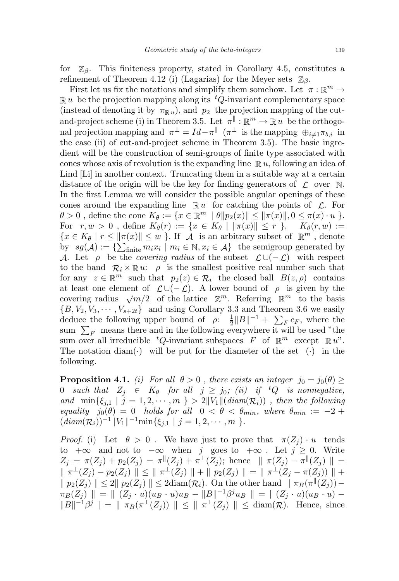for  $\mathbb{Z}_{\beta}$ . This finiteness property, stated in Corollary 4.5, constitutes a refinement of Theorem 4.12 (i) (Lagarias) for the Meyer sets  $\mathbb{Z}_{\beta}$ .

First let us fix the notations and simplify them somehow. Let  $\pi : \mathbb{R}^m \to$  $\mathbb{R} u$  be the projection mapping along its <sup>t</sup>Q-invariant complementary space (instead of denoting it by  $\pi_{\mathbb{R}^n}$ ), and  $p_2$  the projection mapping of the cutand-project scheme (i) in Theorem 3.5. Let  $\pi^{\parallel} : \mathbb{R}^m \to \mathbb{R} u$  be the orthogonal projection mapping and  $\pi^{\perp} = Id - \pi^{\parallel}$  ( $\pi^{\perp}$  is the mapping  $\oplus_{i \neq 1} \pi_{b,i}$  in the case (ii) of cut-and-project scheme in Theorem 3.5). The basic ingredient will be the construction of semi-groups of finite type associated with cones whose axis of revolution is the expanding line  $\mathbb{R} u$ , following an idea of Lind [Li] in another context. Truncating them in a suitable way at a certain distance of the origin will be the key for finding generators of  $\mathcal L$  over N. In the first Lemma we will consider the possible angular openings of these cones around the expanding line  $\mathbb{R} u$  for catching the points of  $\mathcal{L}$ . For  $\theta > 0$ , define the cone  $K_{\theta} := \{x \in \mathbb{R}^m \mid \theta \|p_2(x)\| \leq \|\pi(x)\|, 0 \leq \pi(x) \cdot u \}$ . For  $r, w > 0$ , define  $K_{\theta}(r) := \{x \in K_{\theta} \mid ||\pi(x)|| \leq r \}$ ,  $K_{\theta}(r, w) :=$  $\{x \in K_\theta \mid r \leq ||\pi(x)|| \leq w\}$ . If  $\mathcal A$  is an arbitrary subset of  $\mathbb R^m$ , denote by  $sg(\mathcal{A}) := \{ \sum_{\text{finite}} m_i x_i \mid m_i \in \mathbb{N}, x_i \in \mathcal{A} \}$  the semigroup generated by A. Let  $\rho$  be the *covering radius* of the subset  $\mathcal{L} \cup (-\mathcal{L})$  with respect to the band  $\mathcal{R}_i \times \mathbb{R} u$ :  $\rho$  is the smallest positive real number such that for any  $z \in \mathbb{R}^m$  such that  $p_2(z) \in \mathcal{R}_i$  the closed ball  $B(z, \rho)$  contains at least one element of  $\mathcal{L}\cup(-\mathcal{L})$ . A lower bound of  $\rho$  is given by the at least one element of  $\mathcal{L} \cup (-\mathcal{L})$ . A lower bound of  $\rho$  is given by the covering radius  $\sqrt{m}/2$  of the lattice  $\mathbb{Z}^m$ . Referring  $\mathbb{R}^m$  to the basis  ${B, V_2, V_3, \cdots, V_{s+2t}}$  and using Corollary 3.3 and Theorem 3.6 we easily deduce the following upper bound of  $\rho$ :  $\frac{1}{2}$  $\frac{1}{2}||B||^{-1} + \sum_F c_F$ , where the sum  $\sum_F$  means there and in the following everywhere it will be used "the sum over all irreducible  ${}^tQ$ -invariant subspaces F of  $\mathbb{R}^m$  except  $\mathbb{R} u$ ". The notation diam( $\cdot$ ) will be put for the diameter of the set ( $\cdot$ ) in the following.

**Proposition 4.1.** (i) For all  $\theta > 0$ , there exists an integer  $j_0 = j_0(\theta) \geq$ 0 such that  $Z_j \in K_{\theta}$  for all  $j \geq j_0$ ; (ii) if <sup>t</sup>Q is nonnegative, and  $\min\{\xi_{j,1} \mid j=1,2,\cdots,m\} > 2||V_1||(diam(\mathcal{R}_i))$ , then the following equality  $j_0(\theta) = 0$  holds for all  $0 < \theta < \theta_{min}$ , where  $\theta_{min} := -2 + \theta_{min}$  $(diam(\mathcal{R}_i))^{-1} ||V_1||^{-1} min\{\xi_{j,1} | j = 1, 2, \cdots, m\}.$ 

*Proof.* (i) Let  $\theta > 0$ . We have just to prove that  $\pi(Z_i) \cdot u$  tends to  $+\infty$  and not to  $-\infty$  when j goes to  $+\infty$ . Let  $j \geq 0$ . Write  $Z_j = \pi(Z_j) + p_2(Z_j) = \pi^{\parallel}(Z_j) + \pi^{\perp}(Z_j)$ ; hence  $\parallel \pi(Z_j) - \pi^{\parallel}(Z_j) \parallel =$  $\|\pi^{\perp}(Z_j) - p_2(Z_j)\| \leq \|\pi^{\perp}(Z_j)\| + \|p_2(Z_j)\| = \|\pi^{\perp}(Z_j - \pi(Z_j))\| +$  $\|p_2(Z_j) \| \leq 2 \|p_2(Z_j) \| \leq 2 \text{diam}(\mathcal{R}_i)$ . On the other hand  $\| \pi_B(\pi^{\parallel}(Z_j)) \pi_B(Z_j)$   $\| = \| (Z_j \cdot u)(u_B \cdot u)u_B - \|B\|^{-1}\beta^{j}u_B \| = | (Z_j \cdot u)(u_B \cdot u) ||B||^{-1}\beta^{j}|| = ||\pi_B(\pi^{\perp}(Z_j))|| \le ||\pi^{\perp}(Z_j)|| \le \text{diam}(\mathcal{R}).$  Hence, since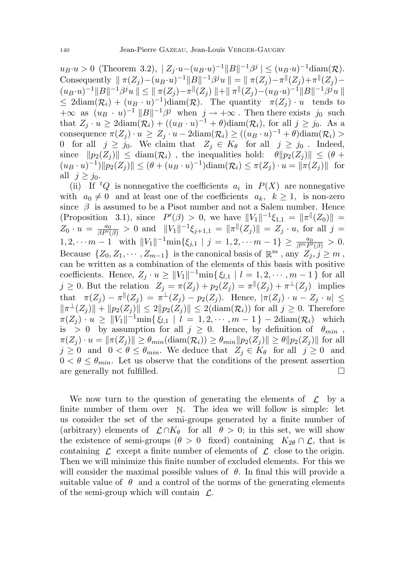$u_B \cdot u > 0$  (Theorem 3.2),  $|Z_j \cdot u - (u_B \cdot u)^{-1} ||B||^{-1} \beta^j| \leq (u_B \cdot u)^{-1} \text{diam}(\mathcal{R}).$ Consequently  $|| \pi(Z_j) - (u_B \cdot u)^{-1} ||B||^{-1} \beta^{j} u || = || \pi(Z_j) - \pi^{j} (Z_j) + \pi^{j} (Z_j) (u_B \cdot u)^{-1} ||B||^{-1} \beta^{j} u || \leq || \pi(Z_j) - \pi ||(Z_j)|| + || \pi ||(Z_j) - (u_B \cdot u)^{-1} ||B||^{-1} \beta^{j} u ||$  $\leq 2 \operatorname{diam}(\mathcal{R}_i) + (u_B \cdot u)^{-1} \operatorname{diam}(\mathcal{R})$ . The quantity  $\pi(Z_j) \cdot u$  tends to  $+\infty$  as  $(u_B \cdot u)^{-1} ||B||^{-1} \beta^j$  when  $j \to +\infty$ . Then there exists  $j_0$  such that  $Z_j \cdot u \geq 2 \text{diam}(\mathcal{R}_i) + ((u_B \cdot u)^{-1} + \theta) \text{diam}(\mathcal{R}_i)$ , for all  $j \geq j_0$ . As a consequence  $\pi(Z_j) \cdot u \geq Z_j \cdot u - 2 \text{diam}(\mathcal{R}_i) \geq ((u_B \cdot u)^{-1} + \theta) \text{diam}(\mathcal{R}_i) >$ 0 for all  $j \ge j_0$ . We claim that  $Z_j \in K_\theta$  for all  $j \ge j_0$ . Indeed, since  $||p_2(Z_j)|| \leq \text{diam}(\mathcal{R}_i)$ , the inequalities hold:  $\theta ||p_2(Z_j)|| \leq (\theta + \theta)$  $(u_B \cdot u)^{-1} ||p_2(Z_j)|| \leq (\theta + (u_B \cdot u)^{-1}) \text{diam}(\mathcal{R}_i) \leq \pi(Z_j) \cdot u = ||\pi(Z_j)||$  for all  $j \geq j_0$ .

(ii) If  ${}^tQ$  is nonnegative the coefficients  $a_i$  in  $P(X)$  are nonnegative with  $a_0 \neq 0$  and at least one of the coefficients  $a_k, k \geq 1$ , is non-zero since  $\beta$  is assumed to be a Pisot number and not a Salem number. Hence (Proposition 3.1), since  $P'(\beta) > 0$ , we have  $||V_1||^{-1}\xi_{1,1} = ||\pi|| (Z_0) || =$  $Z_0 \cdot u = \frac{a_0}{\beta P'(\beta)} > 0$  and  $||V_1||^{-1} \xi_{j+1,1} = ||\pi|| (Z_j) || = Z_j \cdot u$ , for all  $j =$  $1, 2, \cdots m-1 \text{ with } ||V_1||^{-1} \min\{\xi_{j,1} \mid j = 1, 2, \cdots m-1\} \ge \frac{a_0}{\beta^m P'(\beta)} > 0.$ Because  $\{Z_0, Z_1, \cdots, Z_{m-1}\}\$ is the canonical basis of  $\mathbb{R}^m$ , any  $Z_j, j \geq m$ , can be written as a combination of the elements of this basis with positive coefficients. Hence,  $Z_j \cdot u \ge ||V_1||^{-1} \min\{\xi_{l,1} \mid l = 1, 2, \cdots, m-1\}$  for all  $j \geq 0$ . But the relation  $Z_j = \pi(Z_j) + p_2(Z_j) = \pi^{\parallel}(Z_j) + \pi^{\perp}(Z_j)$  implies that  $\pi(Z_j) - \pi^{\parallel}(Z_j) = \pi^{\perp}(Z_j) - p_2(Z_j)$ . Hence,  $|\pi(Z_j) \cdot u - Z_j \cdot u| \le$  $\|\pi^{\perp}(Z_j)\| + \|p_2(Z_j)\| \leq 2\|p_2(Z_j)\| \leq 2(\text{diam}(\mathcal{R}_i))$  for all  $j \geq 0$ . Therefore  $\pi(Z_j) \cdot u \geq ||V_1||^{-1} \min\{\xi_{l,1} \mid l = 1, 2, \cdots, m-1\} - 2\mathrm{diam}(\mathcal{R}_i)$  which is > 0 by assumption for all  $j \ge 0$ . Hence, by definition of  $\theta_{min}$ ,  $\pi(Z_i) \cdot u = \|\pi(Z_i)\| \geq \theta_{min}(\text{diam}(\mathcal{R}_i)) \geq \theta_{min} \|p_2(Z_i)\| \geq \theta \|p_2(Z_i)\|$  for all  $j \geq 0$  and  $0 < \theta \leq \theta_{min}$ . We deduce that  $Z_j \in K_{\theta}$  for all  $j \geq 0$  and  $0 < \theta \leq \theta_{min}$ . Let us observe that the conditions of the present assertion are generally not fulfilled.

We now turn to the question of generating the elements of  $\mathcal{L}$  by a finite number of them over N. The idea we will follow is simple: let us consider the set of the semi-groups generated by a finite number of (arbitrary) elements of  $\mathcal{L} \cap K_{\theta}$  for all  $\theta > 0$ ; in this set, we will show the existence of semi-groups ( $\theta > 0$  fixed) containing  $K_{2\theta} \cap \mathcal{L}$ , that is containing  $\mathcal L$  except a finite number of elements of  $\mathcal L$  close to the origin. Then we will minimize this finite number of excluded elements. For this we will consider the maximal possible values of  $\theta$ . In final this will provide a suitable value of  $\theta$  and a control of the norms of the generating elements of the semi-group which will contain  $\mathcal{L}$ .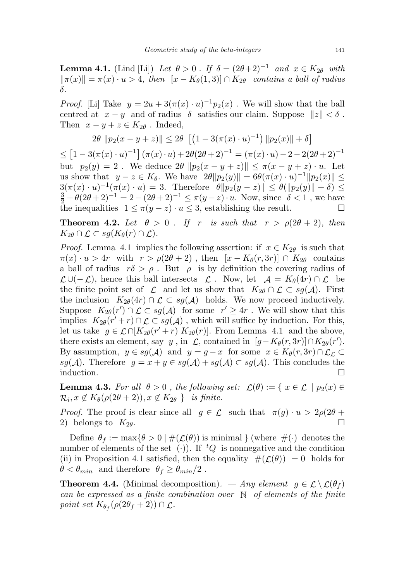**Lemma 4.1.** (Lind [Li]) Let  $\theta > 0$ . If  $\delta = (2\theta + 2)^{-1}$  and  $x \in K_{2\theta}$  with  $\|\pi(x)\| = \pi(x) \cdot u > 4$ , then  $[x - K_{\theta}(1, 3)] \cap K_{2\theta}$  contains a ball of radius δ.

*Proof.* [Li] Take  $y = 2u + 3(\pi(x) \cdot u)^{-1}p_2(x)$ . We will show that the ball centred at  $x - y$  and of radius  $\delta$  satisfies our claim. Suppose  $||z|| < \delta$ . Then  $x - y + z \in K_{2\theta}$ . Indeed,

$$
2\theta \|p_2(x - y + z)\| \le 2\theta \left[ \left(1 - 3(\pi(x) \cdot u)^{-1}\right) \|p_2(x)\| + \delta \right]
$$

 $\leq [1 - 3(\pi(x) \cdot u)^{-1}] (\pi(x) \cdot u) + 2\theta (2\theta + 2)^{-1} = (\pi(x) \cdot u) - 2 - 2(2\theta + 2)^{-1}$ but  $p_2(y) = 2$ . We deduce  $2\theta \|p_2(x - y + z)\| \le \pi(x - y + z) \cdot u$ . Let us show that  $y - z \in K_{\theta}$ . We have  $2\theta ||p_2(y)|| = 6\theta(\pi(x) \cdot u)^{-1} ||p_2(x)|| \le$  $3(\pi(x) \cdot u)^{-1}(\pi(x) \cdot u) = 3.$  Therefore  $\theta ||p_2(y - z)|| \le \theta(||p_2(y)|| + \delta) \le$  $\frac{3}{2} + \theta(2\theta + 2)^{-1} = 2 - (2\theta + 2)^{-1} \le \pi(y - z) \cdot u$ . Now, since  $\delta < 1$ , we have the inequalities  $1 \leq \pi(y-z) \cdot u \leq 3$ , establishing the result.

**Theorem 4.2.** Let  $\theta > 0$ . If r is such that  $r > \rho(2\theta + 2)$ , then  $K_{2\theta} \cap \mathcal{L} \subset sg(K_{\theta}(r) \cap \mathcal{L}).$ 

*Proof.* Lemma 4.1 implies the following assertion: if  $x \in K_{2\theta}$  is such that  $\pi(x) \cdot u > 4r$  with  $r > \rho(2\theta + 2)$ , then  $[x - K_{\theta}(r, 3r)] \cap K_{2\theta}$  contains a ball of radius  $r\delta > \rho$ . But  $\rho$  is by definition the covering radius of  $\mathcal{L}\cup(-\mathcal{L})$ , hence this ball intersects  $\mathcal{L}$ . Now, let  $\mathcal{A} = K_{\theta}(4r) \cap \mathcal{L}$  be the finite point set of  $\mathcal L$  and let us show that  $K_{2\theta} \cap \mathcal L \subset sg(\mathcal A)$ . First the inclusion  $K_{2\theta}(4r) \cap \mathcal{L} \subset sg(\mathcal{A})$  holds. We now proceed inductively. Suppose  $K_{2\theta}(r') \cap \mathcal{L} \subset sg(\mathcal{A})$  for some  $r' \geq 4r$ . We will show that this implies  $K_{2\theta}(r'+r) \cap \mathcal{L} \subset sg(\mathcal{A})$ , which will suffice by induction. For this, let us take  $g \in \mathcal{L} \cap [K_{2\theta}(r'+r) \ K_{2\theta}(r)]$ . From Lemma 4.1 and the above, there exists an element, say y, in  $\mathcal{L}$ , contained in  $[g - K_{\theta}(r, 3r)] \cap K_{2\theta}(r')$ . By assumption,  $y \in sg(\mathcal{A})$  and  $y = g - x$  for some  $x \in K_\theta(r, 3r) \cap \mathcal{L}_\mathcal{L} \subset$ sg(A). Therefore  $g = x + y \in sg(\mathcal{A}) + sg(\mathcal{A}) \subset sg(\mathcal{A})$ . This concludes the induction.

**Lemma 4.3.** For all  $\theta > 0$ , the following set:  $\mathcal{L}(\theta) := \{ x \in \mathcal{L} \mid p_2(x) \in$  $\mathcal{R}_i, x \notin K_\theta(\rho(2\theta+2)), x \notin K_{2\theta}$  } is finite.

*Proof.* The proof is clear since all  $g \in \mathcal{L}$  such that  $\pi(g) \cdot u > 2\rho(2\theta +$ 2) belongs to  $K_{2\theta}$ .

Define  $\theta_f := \max\{\theta > 0 \mid \#(\mathcal{L}(\theta))$  is minimal  $\}$  (where  $\#(\cdot)$  denotes the number of elements of the set (.)). If  ${}^tQ$  is nonnegative and the condition (ii) in Proposition 4.1 satisfied, then the equality  $\#(\mathcal{L}(\theta)) = 0$  holds for  $\theta < \theta_{min}$  and therefore  $\theta_f \ge \theta_{min}/2$ .

**Theorem 4.4.** (Minimal decomposition). — Any element  $g \in \mathcal{L} \setminus \mathcal{L}(\theta_f)$ can be expressed as a finite combination over  $\mathbb N$  of elements of the finite point set  $K_{\theta_f}(\rho(2\theta_f+2))\cap \mathcal{L}$ .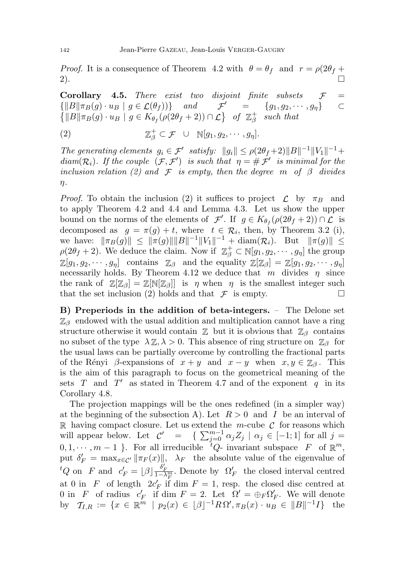*Proof.* It is a consequence of Theorem 4.2 with  $\theta = \theta_f$  and  $r = \rho(2\theta_f +$  $2)$ .

**Corollary 4.5.** There exist two disjoint finite subsets  $\mathcal{F}$  =  $\{||B||\pi_B(g) \cdot u_B | g \in \mathcal{L}(\theta_f)\}\$  and  $\mathcal{F}' = \{g_1, g_2, \cdots, g_\eta\}$   $\subset$  $\{||B||\pi_B(g) \cdot u_B \mid g \in K_{\theta_f}(\rho(2\theta_f+2)) \cap \mathcal{L}\}$  of  $\mathbb{Z}_{\beta}^+$  $\mu_{\beta}^+$  such that

 $(2)$  $\phi_{\beta}^{\dagger} \subset \mathcal{F} \quad \cup \quad \mathbb{N}[g_1, g_2, \cdots, g_{\eta}].$ 

The generating elements  $g_i \in \mathcal{F}'$  satisfy:  $||g_i|| \leq \rho(2\theta_f+2)||B||^{-1}||V_1||^{-1}$ + diam( $\mathcal{R}_i$ ). If the couple  $(\mathcal{F}, \mathcal{F}')$  is such that  $\eta = \# \mathcal{F}'$  is minimal for the inclusion relation (2) and  $\mathcal F$  is empty, then the degree m of  $\beta$  divides η.

*Proof.* To obtain the inclusion (2) it suffices to project  $\mathcal{L}$  by  $\pi_B$  and to apply Theorem 4.2 and 4.4 and Lemma 4.3. Let us show the upper bound on the norms of the elements of  $\mathcal{F}'$ . If  $g \in K_{\theta_f}(\rho(2\theta_f+2)) \cap \mathcal{L}$  is decomposed as  $g = \pi(g) + t$ , where  $t \in \mathcal{R}_i$ , then, by Theorem 3.2 (i), we have:  $\|\pi_B(g)\| \le \|\pi(g)\| \|B\|^{-1} \|V_1\|^{-1} + \text{diam}(\mathcal{R}_i)$ . But  $\|\pi(g)\| \le$  $\rho(2\theta_f+2)$ . We deduce the claim. Now if  $\mathbb{Z}_{\beta}^+\subset \mathbb{N}[g_1,g_2,\cdots,g_{\eta}]$  the group  $\mathbb{Z}[g_1, g_2, \cdots, g_\eta]$  contains  $\mathbb{Z}_{\beta}$  and the equality  $\mathbb{Z}[\mathbb{Z}_{\beta}] = \mathbb{Z}[g_1, g_2, \cdots, g_\eta]$ necessarily holds. By Theorem 4.12 we deduce that m divides  $\eta$  since the rank of  $\mathbb{Z}[\mathbb{Z}_\beta] = \mathbb{Z}[\mathbb{N}[\mathbb{Z}_\beta]]$  is  $\eta$  when  $\eta$  is the smallest integer such that the set inclusion (2) holds and that  $\mathcal F$  is empty.

B) Preperiods in the addition of beta-integers. – The Delone set  $\mathbb{Z}_{\beta}$  endowed with the usual addition and multiplication cannot have a ring structure otherwise it would contain  $\mathbb Z$  but it is obvious that  $\mathbb Z_\beta$  contains no subset of the type  $\lambda \mathbb{Z}, \lambda > 0$ . This absence of ring structure on  $\mathbb{Z}_{\beta}$  for the usual laws can be partially overcome by controlling the fractional parts of the Rényi  $\beta$ -expansions of  $x + y$  and  $x - y$  when  $x, y \in \mathbb{Z}_{\beta}$ . This is the aim of this paragraph to focus on the geometrical meaning of the sets  $T$  and  $T'$  as stated in Theorem 4.7 and of the exponent  $q$  in its Corollary 4.8.

The projection mappings will be the ones redefined (in a simpler way) at the beginning of the subsection A). Let  $R > 0$  and I be an interval of  $\mathbb R$  having compact closure. Let us extend the m-cube  $\mathcal C$  for reasons which will appear below. Let  $\mathcal{C}' = \{$  $\sum_{j=0}^{m-1} \alpha_j Z_j \mid \alpha_j \in [-1,1]$  for all  $j =$  $0, 1, \dots, m-1$  }. For all irreducible  ${}^tQ$ - invariant subspace F of  $\mathbb{R}^m$ , put  $\delta_F' = \max_{x \in \mathcal{C}'} ||\pi_F(x)||$ ,  $\lambda_F$  the absolute value of the eigenvalue of <sup>t</sup>Q on F and  $c_F' = \lfloor \beta \rfloor \frac{\delta_F'}{1-\lambda_F^m}$ . Denote by  $\Omega_F'$  the closed interval centred at 0 in F of length  $2c_F'$  if dim  $F = 1$ , resp. the closed disc centred at 0 in F of radius  $c'_F$  if dim  $F = 2$ . Let  $\Omega' = \bigoplus_F \Omega'_F$ . We will denote by  $\mathcal{T}_{I,R} := \{ x \in \mathbb{R}^m \mid p_2(x) \in [\beta]^{-1} R \Omega', \pi_B(x) \cdot u_B \in ||B||^{-1} I \}$  the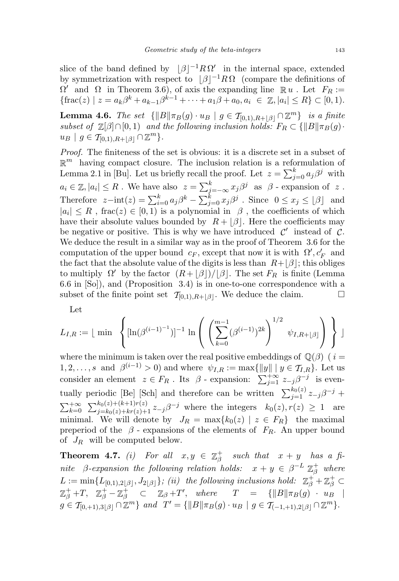slice of the band defined by  $\beta$ <sup>-1</sup>R Ω' in the internal space, extended by symmetrization with respect to  $|\beta|^{-1}R\Omega$  (compare the definitions of  $\Omega'$  and  $\Omega$  in Theorem 3.6), of axis the expanding line  $\mathbb{R} u$ . Let  $F_R :=$  $\{\text{frac}(z) \mid z = a_k \beta^k + a_{k-1} \beta^{k-1} + \cdots + a_1 \beta + a_0, a_i \in \mathbb{Z}, |a_i| \leq R\} \subset [0, 1).$ 

**Lemma 4.6.** The set  $\{||B||\pi_B(g) \cdot u_B | g \in \mathcal{T}_{[0,1),R+|\beta|} \cap \mathbb{Z}^m\}$  is a finite subset of  $\mathbb{Z}[\beta]\cap [0,1]$  and the following inclusion holds:  $F_R \subset {\{\Vert B\Vert \pi_B(g)\}}$ .  $u_B | g \in T_{[0,1),R+|\beta|} \cap \mathbb{Z}^m$ .

Proof. The finiteness of the set is obvious: it is a discrete set in a subset of  $\mathbb{R}^m$  having compact closure. The inclusion relation is a reformulation of Lemma 2.1 in [Bu]. Let us briefly recall the proof. Let  $z = \sum_{j=0}^{k} a_j \beta^j$  with  $a_i \in \mathbb{Z}, |a_i| \leq R$ . We have also  $z = \sum_{j=-\infty}^{k} x_j \beta^j$  as  $\beta$  - expansion of z. Therefore  $z-\text{int}(z) = \sum_{i=0}^{k} a_j \beta^k - \sum_{j=0}^{k} x_j \beta^j$ . Since  $0 \le x_j \le \lfloor \beta \rfloor$  and  $|a_i| \leq R$ , frac $(z) \in [0, 1)$  is a polynomial in  $\beta$ , the coefficients of which have their absolute values bounded by  $R + |\beta|$ . Here the coefficients may be negative or positive. This is why we have introduced  $\mathcal{C}'$  instead of  $\mathcal{C}$ . We deduce the result in a similar way as in the proof of Theorem 3.6 for the computation of the upper bound  $c_F$ , except that now it is with  $\Omega', c'_F$  and the fact that the absolute value of the digits is less than  $R+|\beta|$ ; this obliges to multiply  $\Omega'$  by the factor  $(R+|\beta|)/|\beta|$ . The set  $F_R$  is finite (Lemma 6.6 in [So]), and (Proposition 3.4) is in one-to-one correspondence with a subset of the finite point set  $\mathcal{T}_{[0,1),R+|\beta|}$ . We deduce the claim.

Let

$$
L_{I,R} := \lfloor \ \min \ \left\{ [\ln(\beta^{(i-1)^{-1}})]^{-1} \ \ln \left( \ \left( \sum_{k=0}^{m-1} (\beta^{(i-1)})^{2k} \right)^{1/2} \ \psi_{I,R+\lfloor \beta \rfloor} \right) \ \right\} \ \rfloor
$$

where the minimum is taken over the real positive embeddings of  $\mathbb{Q}(\beta)$  ( i =  $1, 2, \ldots, s$  and  $\beta^{(i-1)} > 0$ ) and where  $\psi_{I,R} := \max\{\|y\| \mid y \in \mathcal{T}_{I,R}\}.$  Let us consider an element  $z \in F_R$ . Its  $\beta$  - expansion:  $\sum_{j=1}^{+\infty} z_{-j}\beta^{-j}$  is eventually periodic [Be] [Sch] and therefore can be written  $\sum_{j=1}^{k_0(z)} z_{-j} \beta^{-j}$  +  $\sum_{k=0}^{+\infty} \sum_{j=k_0(z)+k+1}^{k_0(z)+(k+1)r(z)} z_{-j} \beta^{-j}$  where the integers  $k_0(z), r(z) \geq 1$  are minimal. We will denote by  $J_R = \max\{k_0(z) | z \in F_R\}$  the maximal preperiod of the  $\beta$  - expansions of the elements of  $F_R$ . An upper bound of  $J_R$  will be computed below.

**Theorem 4.7.** (i) For all  $x, y \in \mathbb{Z}_3^+$  $\frac{1}{\beta}$  such that  $x + y$  has a finite β-expansion the following relation holds:  $x + y \in \beta^{-L} \mathbb{Z}_{\beta}^{+}$  where  $L := \min\{L_{[0,1),2\lfloor\beta\rfloor},J_{2\lfloor\beta\rfloor}\}\; ; \; (ii) \;\; the \; following \; inclusions \; hold: \;\; \mathbb{Z}_{\beta}^+ + \mathbb{Z}_{\beta}^+ \subset$  $\mathbb{Z}_{\beta}^+$  +T,  $\mathbb{Z}_{\beta}^+$  -  $\mathbb{Z}_{\beta}^+$   $\subset$   $\mathbb{Z}_{\beta}$  +T', where  $T = {\{||B||\pi_B(g) \cdot u_B||\}}$  $g \in \mathcal{T}_{[0,+1),3|\beta|} \cap \mathbb{Z}^m$  and  $T' = {\{||B||\pi_B(g) \cdot u_B | g \in \mathcal{T}_{(-1,+1),2|\beta|} \cap \mathbb{Z}^m\}}.$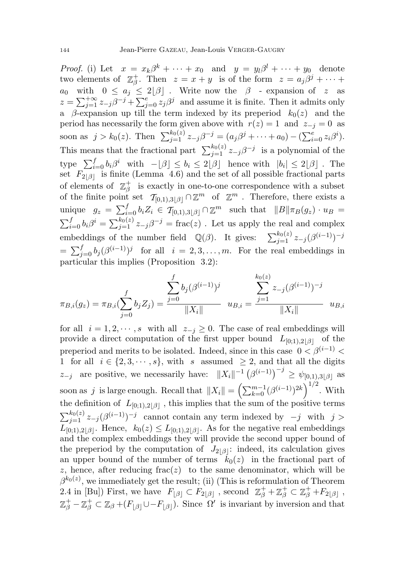*Proof.* (i) Let  $x = x_k \beta^k + \cdots + x_0$  and  $y = y_l \beta^l + \cdots + y_0$  denote two elements of  $\mathbb{Z}_3^+$ <sup>+</sup><sub>β</sub>. Then  $z = x + y$  is of the form  $z = a_j \beta^j + \cdots$  $a_0$  with  $0 \le a_j \le 2[\beta]$ . Write now the  $\beta$  - expansion of z as  $z = \sum_{j=1}^{+\infty} z_{-j} \beta^{-j} + \sum_{j=0}^{e} z_j \beta^j$  and assume it is finite. Then it admits only a β-expansion up till the term indexed by its preperiod  $k_0(z)$  and the period has necessarily the form given above with  $r(z) = 1$  and  $z_{-i} = 0$  as soon as  $j > k_0(z)$ . Then  $\sum_{j=1}^{k_0(z)} z_{-j} \beta^{-j} = (a_j \beta^j + \cdots + a_0) - (\sum_{i=0}^e z_i \beta^i)$ . This means that the fractional part  $\sum_{j=1}^{k_0(z)} z_{-j} \beta^{-j}$  is a polynomial of the type  $\sum_{i=0}^{f} b_i \beta^i$  with  $-[\beta] \leq b_i \leq 2[\beta]$  hence with  $|b_i| \leq 2[\beta]$ . The set  $F_{2\lfloor\beta\rfloor}$  is finite (Lemma 4.6) and the set of all possible fractional parts of elements of  $\mathbb{Z}_3^+$  $\frac{1}{\beta}$  is exactly in one-to-one correspondence with a subset of the finite point set  $\mathcal{T}_{[0,1),3|\beta|} \cap \mathbb{Z}^m$  of  $\mathbb{Z}^m$ . Therefore, there exists a unique  $g_z = \sum_{i=0}^f b_i Z_i \in \mathcal{T}_{[0,1),3[\beta]} \cap \mathbb{Z}^m$  such that  $||B||\pi_B(g_z) \cdot u_B =$  $\sum_{i=0}^{f} b_i \beta^i = \sum_{j=1}^{k_0(z)} z_{-j} \beta^{-j} = \text{frac}(z)$ . Let us apply the real and complex embeddings of the number field  $\mathbb{Q}(\beta)$ . It gives:  $\sum_{j=1}^{k_0(z)} z_{-j} (\beta^{(i-1)})^{-j}$  $=\sum_{j=0}^f b_j(\beta^{(i-1)})^j$  for all  $i=2,3,\ldots,m$ . For the real embeddings in particular this implies (Proposition 3.2):

$$
\pi_{B,i}(g_z) = \pi_{B,i}(\sum_{j=0}^f b_j Z_j) = \frac{\sum_{j=0}^f b_j(\beta^{(i-1)})^j}{\|X_i\|} \quad u_{B,i} = \frac{\sum_{j=1}^{k_0(z)} z_{-j}(\beta^{(i-1)})^{-j}}{\|X_i\|} \quad u_{B,i}
$$

for all  $i = 1, 2, \dots, s$  with all  $z_{-j} \geq 0$ . The case of real embeddings will provide a direct computation of the first upper bound  $L_{[0;1),2|\beta|}$  of the preperiod and merits to be isolated. Indeed, since in this case  $0 < \beta^{(i-1)}$ 1 for all  $i \in \{2, 3, \dots, s\}$ , with s assumed  $\geq 2$ , and that all the digits  $z_{-j}$  are positive, we necessarily have:  $||X_i||^{-1} (\beta^{(i-1)})^{-j} \ge \psi_{[0,1),3|\beta|}$  as soon as j is large enough. Recall that  $||X_i|| = \left(\sum_{k=0}^{m-1} (\beta^{(i-1)})^{2k}\right)^{1/2}$ . With the definition of  $L_{[0;1),2|\beta|}$ , this implies that the sum of the positive terms  $\sum_{j=1}^{k_0(z)} z_{-j} (\beta^{(i-1)})^{-j}$  cannot contain any term indexed by  $-j$  with  $j >$  $L_{[0,1),2|\beta|}$ . Hence,  $k_0(z) \leq L_{[0,1),2|\beta|}$ . As for the negative real embeddings and the complex embeddings they will provide the second upper bound of the preperiod by the computation of  $J_{2|\beta|}$ : indeed, its calculation gives an upper bound of the number of terms  $k_0(z)$  in the fractional part of z, hence, after reducing  $frac(z)$  to the same denominator, which will be  $\beta^{k_0(z)}$ , we immediately get the result; (ii) (This is reformulation of Theorem 2.4 in [Bu]) First, we have  $F_{\lfloor \beta \rfloor} \subset F_{2\lfloor \beta \rfloor}$ , second  $\mathbb{Z}_{\beta}^{+} + \mathbb{Z}_{\beta}^{+} \subset \mathbb{Z}_{\beta}^{+} + F_{2\lfloor \beta \rfloor}$ ,  $\mathbb{Z}_{\beta}^+ - \mathbb{Z}_{\beta}^+ \subset \mathbb{Z}_{\beta} + (F_{\lfloor \beta \rfloor} \cup -F_{\lfloor \beta \rfloor}).$  Since  $\Omega'$  is invariant by inversion and that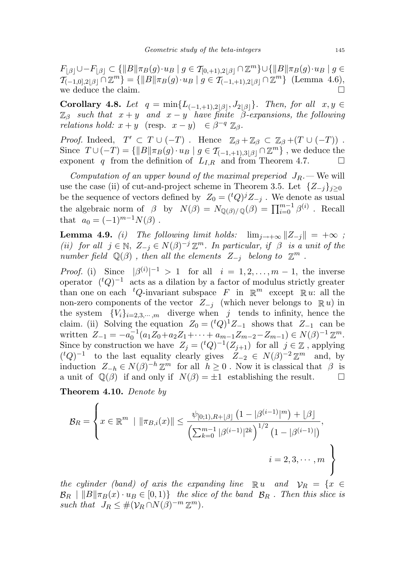$F_{|\beta|} \cup -F_{|\beta|} \subset {\{||B||\pi_B(g) \cdot u_B \mid g \in T_{[0,+1),2|\beta|} \cap \mathbb{Z}^m\}} \cup {\{||B||\pi_B(g) \cdot u_B \mid g \in T_{[0,+1),2|\beta|} \cap \mathbb{Z}^m\}}$  $\{ \mathcal{T}_{(-1,0],2|\beta|} \cap \mathbb{Z}^m \} = \{ ||B|| \pi_B(g) \cdot u_B \mid g \in \mathcal{T}_{(-1,+1),2|\beta|} \cap \mathbb{Z}^m \}$  (Lemma 4.6), we deduce the claim.  $\hfill \Box$ 

Corollary 4.8. Let  $q = \min\{L_{(-1,+1),2|\beta|}, L_{2|\beta|}\}\$ . Then, for all  $x, y \in$  $\mathbb{Z}_{\beta}$  such that  $x + y$  and  $x - y$  have finite  $\beta$ -expansions, the following *relations hold:*  $x + y$  (resp.  $x - y$ )  $\in \beta^{-q} \mathbb{Z}_{\beta}$ .

*Proof.* Indeed,  $T' \subset T \cup (-T)$ . Hence  $\mathbb{Z}_{\beta} + \mathbb{Z}_{\beta} \subset \mathbb{Z}_{\beta} + (T \cup (-T))$ . Since  $T \cup (-T) = \{ ||B|| \pi_B(g) \cdot u_B \mid g \in \mathcal{T}_{(-1,+1),3}[\beta] \cap \mathbb{Z}^m \}$ , we deduce the exponent q from the definition of  $L_{I,R}$  and from Theorem 4.7.  $\Box$ 

Computation of an upper bound of the maximal preperiod  $J_R$ . We will use the case (ii) of cut-and-project scheme in Theorem 3.5. Let  $\{Z_{-j}\}_{j\geq 0}$ be the sequence of vectors defined by  $Z_0 = ({}^tQ)^j Z_{-j}$ . We denote as usual the algebraic norm of  $\beta$  by  $N(\beta) = N_{\mathbb{Q}(\beta)/\mathbb{Q}}(\beta) = \prod_{i=0}^{m-1} \beta^{(i)}$ . Recall that  $a_0 = (-1)^{m-1}N(\beta)$ .

**Lemma 4.9.** (i) The following limit holds:  $\lim_{i \to +\infty} ||Z_{-i}|| = +\infty$ ; (ii) for all  $j \in \mathbb{N}$ ,  $Z_{-j} \in N(\beta)^{-j} \mathbb{Z}^m$ . In particular, if  $\beta$  is a unit of the number field  $\mathbb{Q}(\beta)$ , then all the elements  $Z_{-j}$  belong to  $\mathbb{Z}^m$ .

*Proof.* (i) Since  $|\beta^{(i)}|^{-1} > 1$  for all  $i = 1, 2, ..., m - 1$ , the inverse operator  $({}^{t}Q)^{-1}$  acts as a dilation by a factor of modulus strictly greater than one on each  ${}^tQ$ -invariant subspace F in  $\mathbb{R}^m$  except  $\mathbb{R} u$ : all the non-zero components of the vector  $Z_{-j}$  (which never belongs to  $\mathbb{R} u$ ) in the system  ${V_i}_{i=2,3,\cdots,m}$  diverge when j tends to infinity, hence the claim. (ii) Solving the equation  $Z_0 = ({}^tQ)^1Z_{-1}$  shows that  $Z_{-1}$  can be written  $Z_{-1} = -a_0^{-1} (a_1 Z_0 + a_2 Z_1 + \cdots + a_{m-1} Z_{m-2} - Z_{m-1}) \in N(\beta)^{-1} \mathbb{Z}^m$ . Since by construction we have  $Z_j = ({}^tQ)^{-1}(Z_{j+1})$  for all  $j \in \mathbb{Z}$ , applying  $({}^{t}Q)^{-1}$  to the last equality clearly gives  $Z_{-2} \in N(\beta)^{-2} \mathbb{Z}^m$  and, by induction  $Z_{-h} \in N(\beta)^{-h} \mathbb{Z}^m$  for all  $h \geq 0$ . Now it is classical that  $\beta$  is a unit of  $\mathbb{Q}(\beta)$  if and only if  $N(\beta) = \pm 1$  establishing the result.  $\square$ 

Theorem 4.10. Denote by

$$
\mathcal{B}_R = \left\{ x \in \mathbb{R}^m \mid \|\pi_{B,i}(x)\| \le \frac{\psi_{[0;1),R+\lfloor \beta \rfloor} \left(1 - |\beta^{(i-1)}|^m\right) + \lfloor \beta \rfloor}{\left(\sum_{k=0}^{m-1} |\beta^{(i-1)}|^{2k}\right)^{1/2} \left(1 - |\beta^{(i-1)}|\right)}, \right\}
$$
  
 $i = 2, 3, \dots, m$ 

the cylinder (band) of axis the expanding line  $\mathbb{R} u$  and  $\mathcal{V}_R = \{x \in$  $\mathcal{B}_R \mid \|B\|\pi_B(x) \cdot u_B \in [0, 1)\}\$  the slice of the band  $\mathcal{B}_R$ . Then this slice is such that  $J_R \leq #(\mathcal{V}_R \cap N(\beta)^{-m} \mathbb{Z}^m)$ .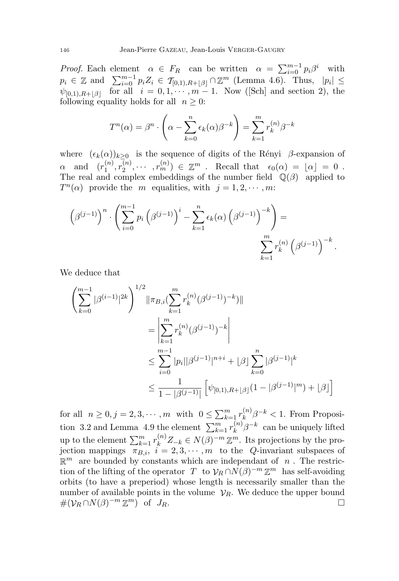*Proof.* Each element  $\alpha \in F_R$  can be written  $\alpha = \sum_{i=0}^{m-1} p_i \beta^i$  with  $p_i \in \mathbb{Z}$  and  $\sum_{i=0}^{m-1} p_i Z_i \in \mathcal{T}_{[0,1),R+\lfloor \beta \rfloor} \cap \mathbb{Z}^m$  (Lemma 4.6). Thus,  $|p_i| \leq$  $\psi_{[0,1),R+|\beta|}$  for all  $i = 0, 1, \cdots, m-1$ . Now ([Sch] and section 2), the following equality holds for all  $n \geq 0$ :

$$
T^{n}(\alpha) = \beta^{n} \cdot \left(\alpha - \sum_{k=0}^{n} \epsilon_{k}(\alpha)\beta^{-k}\right) = \sum_{k=1}^{m} r_{k}^{(n)}\beta^{-k}
$$

where  $(\epsilon_k(\alpha))_{k>0}$  is the sequence of digits of the Rényi  $\beta$ -expansion of  $\alpha$  and  $(r_1^{(n)}$  $\binom{n}{1},r_2^{(n)}$  $\epsilon_2^{(n)}, \cdots, r_m^{(n)}\rangle \in \mathbb{Z}^m$  . Recall that  $\epsilon_0(\alpha) = \lfloor \alpha \rfloor = 0$ . The real and complex embeddings of the number field  $\mathbb{Q}(\beta)$  applied to  $T^n(\alpha)$  provide the m equalities, with  $j = 1, 2, \cdots, m$ :

$$
\left(\beta^{(j-1)}\right)^n \cdot \left(\sum_{i=0}^{m-1} p_i \left(\beta^{(j-1)}\right)^i - \sum_{k=1}^n \epsilon_k(\alpha) \left(\beta^{(j-1)}\right)^{-k}\right) = \sum_{k=1}^m r_k^{(n)} \left(\beta^{(j-1)}\right)^{-k}.
$$

We deduce that

$$
\left(\sum_{k=0}^{m-1} |\beta^{(i-1)}|^{2k}\right)^{1/2} \|\pi_{B,i}(\sum_{k=1}^{m} r_k^{(n)}(\beta^{(j-1)})^{-k})\|
$$
  

$$
= \left|\sum_{k=1}^{m} r_k^{(n)}(\beta^{(j-1)})^{-k}\right|
$$
  

$$
\leq \sum_{i=0}^{m-1} |p_i||\beta^{(j-1)}|^{n+i} + |\beta| \sum_{k=0}^{n} |\beta^{(j-1)}|^k
$$
  

$$
\leq \frac{1}{1-|\beta^{(j-1)}|} \left[\psi_{[0,1),R+[\beta]}(1-|\beta^{(j-1)}|^m) + |\beta|\right]
$$

for all  $n \geq 0, j = 2, 3, \cdots, m$  with  $0 \leq \sum_{k=1}^{m} r_k^{(n)}$  $\int_k^{(n)} \beta^{-k} < 1$ . From Proposition 3.2 and Lemma 4.9 the element  $\sum_{k=1}^{m} r_k^{(n)}$  $\int_k^{(n)} \beta^{-k}$  can be uniquely lifted up to the element  $\sum_{k=1}^{m} r_k^{(n)} Z_{-k} \in N(\beta)^{-m} \mathbb{Z}^m$ . Its projections by the projection mappings  $\pi_{B,i}$ ,  $i = 2, 3, \cdots, m$  to the *Q*-invariant subspaces of  $\mathbb{R}^m$  are bounded by constants which are independant of n. The restriction of the lifting of the operator T to  $\mathcal{V}_R \cap N(\beta)^{-m} \mathbb{Z}^m$  has self-avoiding orbits (to have a preperiod) whose length is necessarily smaller than the number of available points in the volume  $\mathcal{V}_R$ . We deduce the upper bound  $\#(\mathcal{V}_R \cap N(\beta)^{-m} \mathbb{Z}^m)$  of  $J_R$ .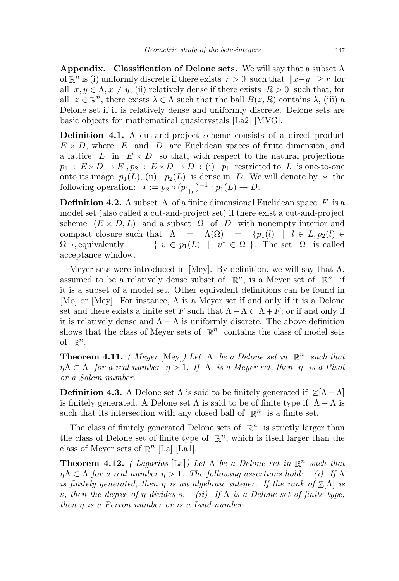Appendix.– Classification of Delone sets. We will say that a subset  $\Lambda$ of  $\mathbb{R}^n$  is (i) uniformly discrete if there exists  $r > 0$  such that  $||x-y|| \geq r$  for all  $x, y \in \Lambda, x \neq y$ , (ii) relatively dense if there exists  $R > 0$  such that, for all  $z \in \mathbb{R}^n$ , there exists  $\lambda \in \Lambda$  such that the ball  $B(z, R)$  contains  $\lambda$ , (iii) a Delone set if it is relatively dense and uniformly discrete. Delone sets are basic objects for mathematical quasicrystals [La2] [MVG].

Definition 4.1. A cut-and-project scheme consists of a direct product  $E \times D$ , where E and D are Euclidean spaces of finite dimension, and a lattice L in  $E \times D$  so that, with respect to the natural projections  $p_1 : E \times D \to E$ ,  $p_2 : E \times D \to D$  : (i)  $p_1$  restricted to L is one-to-one onto its image  $p_1(L)$ , (ii)  $p_2(L)$  is dense in D. We will denote by  $*$  the following operation:  $* := p_2 \circ (p_{1_{|L}})^{-1} : p_1(L) \to D$ .

**Definition 4.2.** A subset  $\Lambda$  of a finite dimensional Euclidean space E is a model set (also called a cut-and-project set) if there exist a cut-and-project scheme  $(E \times D, L)$  and a subset  $\Omega$  of D with nonempty interior and compact closure such that  $\Lambda = \Lambda(\Omega) = \{p_1(l) \mid l \in L, p_2(l) \in$  $\Omega$ , equivalently = {  $v \in p_1(L)$  |  $v^* \in \Omega$ }. The set  $\Omega$  is called acceptance window.

Meyer sets were introduced in [Mey]. By definition, we will say that  $\Lambda$ , assumed to be a relatively dense subset of  $\mathbb{R}^n$ , is a Meyer set of  $\mathbb{R}^n$  if it is a subset of a model set. Other equivalent definitions can be found in [Mo] or [Mey]. For instance,  $\Lambda$  is a Meyer set if and only if it is a Delone set and there exists a finite set F such that  $\Lambda - \Lambda \subset \Lambda + F$ ; or if and only if it is relatively dense and  $\Lambda - \Lambda$  is uniformly discrete. The above definition shows that the class of Meyer sets of  $\mathbb{R}^n$  contains the class of model sets of  $\mathbb{R}^n$ .

**Theorem 4.11.** (Meyer [Mey]) Let  $\Lambda$  be a Delone set in  $\mathbb{R}^n$  such that  $\eta \Lambda \subset \Lambda$  for a real number  $\eta > 1$ . If  $\Lambda$  is a Meyer set, then  $\eta$  is a Pisot or a Salem number.

**Definition 4.3.** A Delone set  $\Lambda$  is said to be finitely generated if  $\mathbb{Z}[\Lambda-\Lambda]$ is finitely generated. A Delone set  $\Lambda$  is said to be of finite type if  $\Lambda - \Lambda$  is such that its intersection with any closed ball of  $\mathbb{R}^n$  is a finite set.

The class of finitely generated Delone sets of  $\mathbb{R}^n$  is strictly larger than the class of Delone set of finite type of  $\mathbb{R}^n$ , which is itself larger than the class of Meyer sets of  $\mathbb{R}^n$  [La] [La1].

**Theorem 4.12.** (Lagarias [La]) Let  $\Lambda$  be a Delone set in  $\mathbb{R}^n$  such that  $\eta \Lambda \subset \Lambda$  for a real number  $\eta > 1$ . The following assertions hold: (i) If  $\Lambda$ is finitely generated, then  $\eta$  is an algebraic integer. If the rank of  $\mathbb{Z}[\Lambda]$  is s, then the degree of  $\eta$  divides s, (ii) If  $\Lambda$  is a Delone set of finite type, then η is a Perron number or is a Lind number.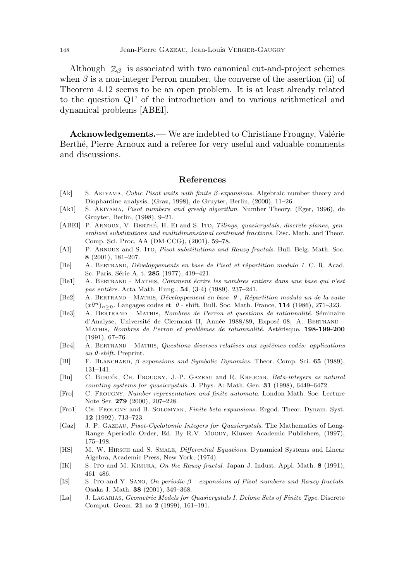Although  $\mathbb{Z}_{\beta}$  is associated with two canonical cut-and-project schemes when  $\beta$  is a non-integer Perron number, the converse of the assertion (ii) of Theorem 4.12 seems to be an open problem. It is at least already related to the question Q1' of the introduction and to various arithmetical and dynamical problems [ABEI].

Acknowledgements.— We are indebted to Christiane Frougny, Valérie Berthé, Pierre Arnoux and a referee for very useful and valuable comments and discussions.

#### References

- [Ak] S. Akiyama, Cubic Pisot units with finite β-expansions. Algebraic number theory and Diophantine analysis, (Graz, 1998), de Gruyter, Berlin, (2000), 11–26.
- [Ak1] S. Akiyama, Pisot numbers and greedy algorithm. Number Theory, (Eger, 1996), de Gruyter, Berlin, (1998), 9–21.
- [ABEI] P. ARNOUX, V. BERTHÉ, H. EI and S. ITO, Tilings, quasicrystals, discrete planes, generalized substitutions and multidimensional continued fractions. Disc. Math. and Theor. Comp. Sci. Proc. AA (DM-CCG), (2001), 59–78.
- [AI] P. ARNOUX and S. Ito, Pisot substitutions and Rauzy fractals. Bull. Belg. Math. Soc. 8 (2001), 181–207.
- [Be] A. BERTRAND, *Développements en base de Pisot et répartition modulo 1*. C. R. Acad. Sc. Paris, Série A, t. 285 (1977), 419-421.
- [Be1] A. BERTRAND MATHIS, Comment écrire les nombres entiers dans une base qui n'est pas entière. Acta Math. Hung.,  $54$ ,  $(3-4)$   $(1989)$ ,  $237-241$ .
- [Be2] A. BERTRAND MATHIS, Développement en base  $\theta$ , Répartition modulo un de la suite  $(x\theta^n)_{n>0}$ . Langages codes et  $\theta$  - shift, Bull. Soc. Math. France, 114 (1986), 271–323.
- [Be3] A. BERTRAND MATHIS, Nombres de Perron et questions de rationnalité. Séminaire d'Analyse, Université de Clermont II, Année 1988/89, Exposé 08; A. BERTRAND -MATHIS, Nombres de Perron et problèmes de rationnalité. Astérisque, 198-199-200 (1991), 67–76.
- [Be4] A. BERTRAND MATHIS, Questions diverses relatives aux systèmes codés: applications au θ-shift. Preprint.
- [Bl] F. Blanchard, β-expansions and Symbolic Dynamics. Theor. Comp. Sci. 65 (1989), 131–141.
- [Bu] C. BURDÍK, CH. FROUGNY, J.-P. GAZEAU and R. KREJCAR, Beta-integers as natural counting systems for quasicrystals. J. Phys. A: Math. Gen. 31 (1998), 6449–6472.
- [Fro] C. Frougny, Number representation and finite automata. London Math. Soc. Lecture Note Ser. 279 (2000), 207–228.
- [Fro1] Ch. Frougny and B. Solomyak, Finite beta-expansions. Ergod. Theor. Dynam. Syst. 12 (1992), 713–723.
- [Gaz] J. P. Gazeau, Pisot-Cyclotomic Integers for Quasicrystals. The Mathematics of Long-Range Aperiodic Order, Ed. By R.V. Moody, Kluwer Academic Publishers, (1997), 175–198.
- [HS] M. W. HIRSCH and S. SMALE, *Differential Equations*. Dynamical Systems and Linear Algebra, Academic Press, New York, (1974).
- [IK] S. Ito and M. Kimura, On the Rauzy fractal. Japan J. Indust. Appl. Math. 8 (1991), 461–486.
- [IS] S. Ito and Y. SANO, On periodic  $\beta$  expansions of Pisot numbers and Rauzy fractals. Osaka J. Math. 38 (2001), 349–368.
- [La] J. LAGARIAS, Geometric Models for Quasicrystals I. Delone Sets of Finite Type. Discrete Comput. Geom. 21 no 2 (1999), 161–191.